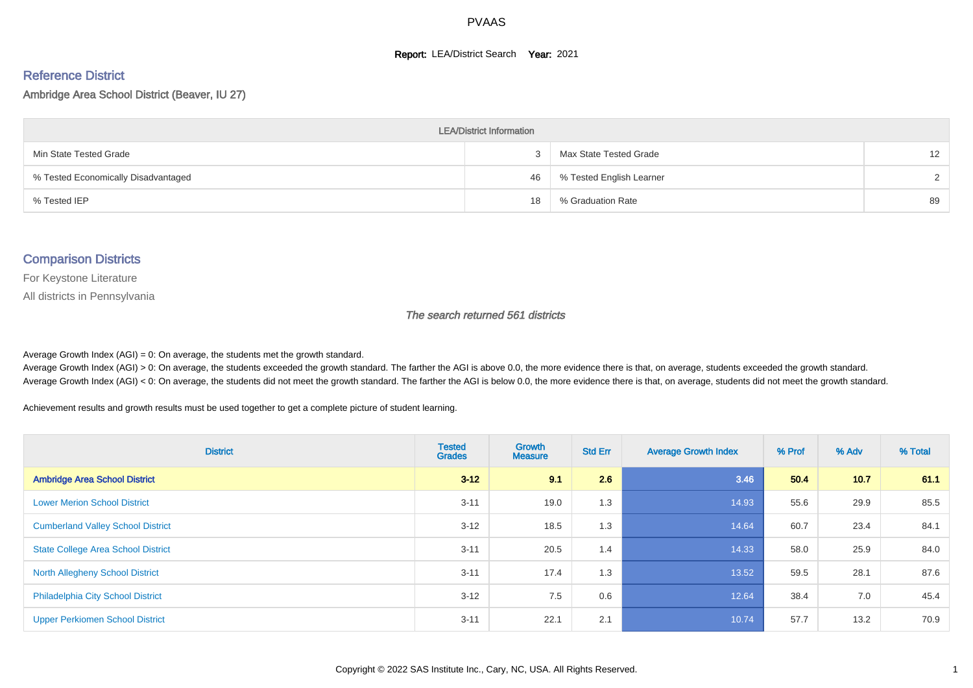#### **Report: LEA/District Search Year: 2021**

# Reference District

Ambridge Area School District (Beaver, IU 27)

| <b>LEA/District Information</b>     |    |                          |                   |  |  |  |  |  |  |
|-------------------------------------|----|--------------------------|-------------------|--|--|--|--|--|--|
| Min State Tested Grade              |    | Max State Tested Grade   | $12 \overline{ }$ |  |  |  |  |  |  |
| % Tested Economically Disadvantaged | 46 | % Tested English Learner | $\mathcal{D}$     |  |  |  |  |  |  |
| % Tested IEP                        | 18 | % Graduation Rate        | 89                |  |  |  |  |  |  |

#### Comparison Districts

For Keystone Literature

All districts in Pennsylvania

The search returned 561 districts

Average Growth Index  $(AGI) = 0$ : On average, the students met the growth standard.

Average Growth Index (AGI) > 0: On average, the students exceeded the growth standard. The farther the AGI is above 0.0, the more evidence there is that, on average, students exceeded the growth standard. Average Growth Index (AGI) < 0: On average, the students did not meet the growth standard. The farther the AGI is below 0.0, the more evidence there is that, on average, students did not meet the growth standard.

Achievement results and growth results must be used together to get a complete picture of student learning.

| <b>District</b>                           | <b>Tested</b><br><b>Grades</b> | Growth<br><b>Measure</b> | <b>Std Err</b> | <b>Average Growth Index</b> | % Prof | % Adv | % Total |
|-------------------------------------------|--------------------------------|--------------------------|----------------|-----------------------------|--------|-------|---------|
| <b>Ambridge Area School District</b>      | $3 - 12$                       | 9.1                      | 2.6            | 3.46                        | 50.4   | 10.7  | 61.1    |
| <b>Lower Merion School District</b>       | $3 - 11$                       | 19.0                     | 1.3            | 14.93                       | 55.6   | 29.9  | 85.5    |
| <b>Cumberland Valley School District</b>  | $3 - 12$                       | 18.5                     | 1.3            | 14.64                       | 60.7   | 23.4  | 84.1    |
| <b>State College Area School District</b> | $3 - 11$                       | 20.5                     | 1.4            | 14.33                       | 58.0   | 25.9  | 84.0    |
| <b>North Allegheny School District</b>    | $3 - 11$                       | 17.4                     | 1.3            | 13.52                       | 59.5   | 28.1  | 87.6    |
| <b>Philadelphia City School District</b>  | $3 - 12$                       | 7.5                      | 0.6            | 12.64                       | 38.4   | 7.0   | 45.4    |
| <b>Upper Perkiomen School District</b>    | $3 - 11$                       | 22.1                     | 2.1            | 10.74                       | 57.7   | 13.2  | 70.9    |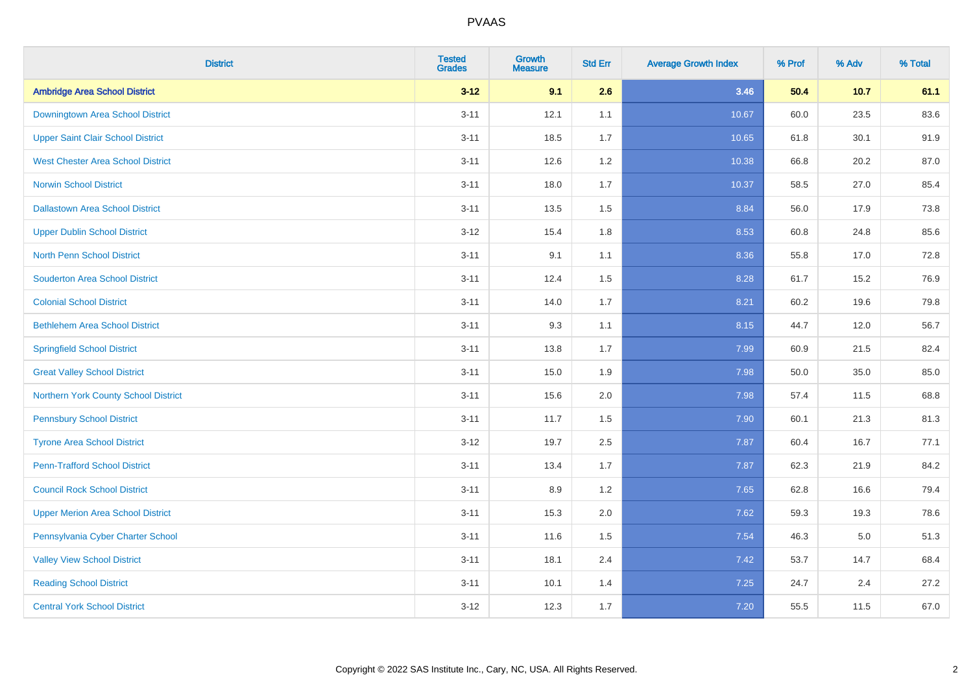| <b>District</b>                          | <b>Tested</b><br><b>Grades</b> | <b>Growth</b><br><b>Measure</b> | <b>Std Err</b> | <b>Average Growth Index</b> | % Prof | % Adv   | % Total |
|------------------------------------------|--------------------------------|---------------------------------|----------------|-----------------------------|--------|---------|---------|
| <b>Ambridge Area School District</b>     | $3 - 12$                       | 9.1                             | 2.6            | 3.46                        | 50.4   | 10.7    | 61.1    |
| Downingtown Area School District         | $3 - 11$                       | 12.1                            | 1.1            | 10.67                       | 60.0   | 23.5    | 83.6    |
| <b>Upper Saint Clair School District</b> | $3 - 11$                       | 18.5                            | 1.7            | 10.65                       | 61.8   | 30.1    | 91.9    |
| <b>West Chester Area School District</b> | $3 - 11$                       | 12.6                            | 1.2            | 10.38                       | 66.8   | 20.2    | 87.0    |
| <b>Norwin School District</b>            | $3 - 11$                       | 18.0                            | 1.7            | 10.37                       | 58.5   | 27.0    | 85.4    |
| <b>Dallastown Area School District</b>   | $3 - 11$                       | 13.5                            | 1.5            | 8.84                        | 56.0   | 17.9    | 73.8    |
| <b>Upper Dublin School District</b>      | $3 - 12$                       | 15.4                            | 1.8            | 8.53                        | 60.8   | 24.8    | 85.6    |
| <b>North Penn School District</b>        | $3 - 11$                       | 9.1                             | 1.1            | 8.36                        | 55.8   | 17.0    | 72.8    |
| <b>Souderton Area School District</b>    | $3 - 11$                       | 12.4                            | 1.5            | 8.28                        | 61.7   | 15.2    | 76.9    |
| <b>Colonial School District</b>          | $3 - 11$                       | 14.0                            | 1.7            | 8.21                        | 60.2   | 19.6    | 79.8    |
| <b>Bethlehem Area School District</b>    | $3 - 11$                       | 9.3                             | 1.1            | 8.15                        | 44.7   | 12.0    | 56.7    |
| <b>Springfield School District</b>       | $3 - 11$                       | 13.8                            | 1.7            | 7.99                        | 60.9   | 21.5    | 82.4    |
| <b>Great Valley School District</b>      | $3 - 11$                       | 15.0                            | 1.9            | 7.98                        | 50.0   | 35.0    | 85.0    |
| Northern York County School District     | $3 - 11$                       | 15.6                            | 2.0            | 7.98                        | 57.4   | 11.5    | 68.8    |
| <b>Pennsbury School District</b>         | $3 - 11$                       | 11.7                            | 1.5            | 7.90                        | 60.1   | 21.3    | 81.3    |
| <b>Tyrone Area School District</b>       | $3 - 12$                       | 19.7                            | 2.5            | 7.87                        | 60.4   | 16.7    | 77.1    |
| <b>Penn-Trafford School District</b>     | $3 - 11$                       | 13.4                            | 1.7            | 7.87                        | 62.3   | 21.9    | 84.2    |
| <b>Council Rock School District</b>      | $3 - 11$                       | 8.9                             | 1.2            | 7.65                        | 62.8   | 16.6    | 79.4    |
| <b>Upper Merion Area School District</b> | $3 - 11$                       | 15.3                            | 2.0            | 7.62                        | 59.3   | 19.3    | 78.6    |
| Pennsylvania Cyber Charter School        | $3 - 11$                       | 11.6                            | 1.5            | 7.54                        | 46.3   | $5.0\,$ | 51.3    |
| <b>Valley View School District</b>       | $3 - 11$                       | 18.1                            | 2.4            | 7.42                        | 53.7   | 14.7    | 68.4    |
| <b>Reading School District</b>           | $3 - 11$                       | 10.1                            | 1.4            | 7.25                        | 24.7   | 2.4     | 27.2    |
| <b>Central York School District</b>      | $3 - 12$                       | 12.3                            | 1.7            | 7.20                        | 55.5   | 11.5    | 67.0    |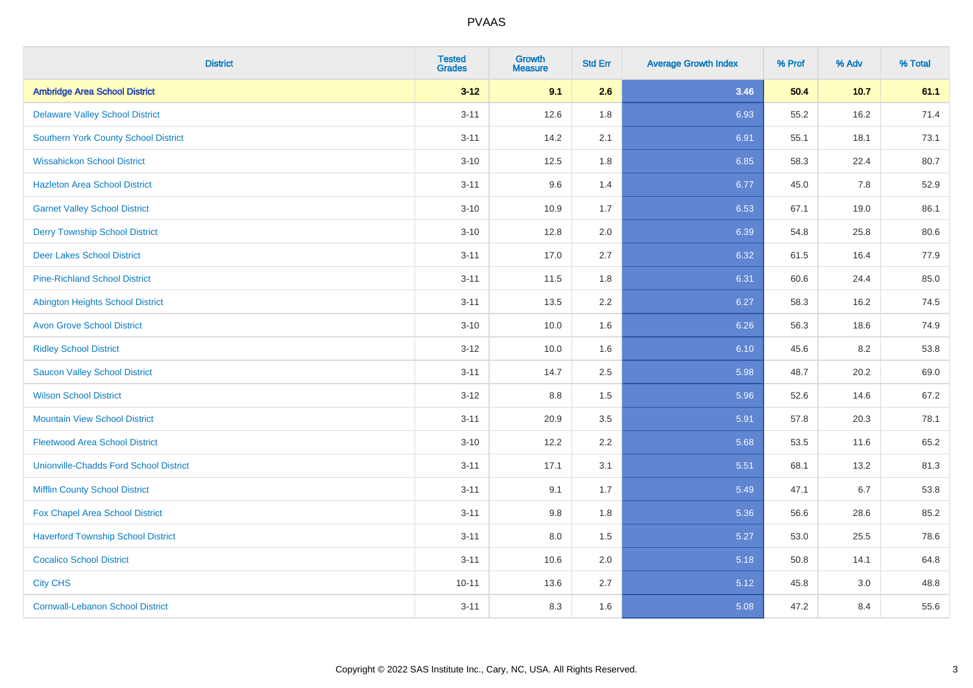| <b>District</b>                               | <b>Tested</b><br><b>Grades</b> | <b>Growth</b><br><b>Measure</b> | <b>Std Err</b> | <b>Average Growth Index</b> | % Prof | % Adv | % Total |
|-----------------------------------------------|--------------------------------|---------------------------------|----------------|-----------------------------|--------|-------|---------|
| <b>Ambridge Area School District</b>          | $3 - 12$                       | 9.1                             | 2.6            | 3.46                        | 50.4   | 10.7  | 61.1    |
| <b>Delaware Valley School District</b>        | $3 - 11$                       | 12.6                            | 1.8            | 6.93                        | 55.2   | 16.2  | 71.4    |
| <b>Southern York County School District</b>   | $3 - 11$                       | 14.2                            | 2.1            | 6.91                        | 55.1   | 18.1  | 73.1    |
| <b>Wissahickon School District</b>            | $3 - 10$                       | 12.5                            | 1.8            | 6.85                        | 58.3   | 22.4  | 80.7    |
| <b>Hazleton Area School District</b>          | $3 - 11$                       | 9.6                             | 1.4            | 6.77                        | 45.0   | 7.8   | 52.9    |
| <b>Garnet Valley School District</b>          | $3 - 10$                       | 10.9                            | 1.7            | 6.53                        | 67.1   | 19.0  | 86.1    |
| <b>Derry Township School District</b>         | $3 - 10$                       | 12.8                            | 2.0            | 6.39                        | 54.8   | 25.8  | 80.6    |
| <b>Deer Lakes School District</b>             | $3 - 11$                       | 17.0                            | 2.7            | 6.32                        | 61.5   | 16.4  | 77.9    |
| <b>Pine-Richland School District</b>          | $3 - 11$                       | 11.5                            | 1.8            | 6.31                        | 60.6   | 24.4  | 85.0    |
| <b>Abington Heights School District</b>       | $3 - 11$                       | 13.5                            | 2.2            | 6.27                        | 58.3   | 16.2  | 74.5    |
| <b>Avon Grove School District</b>             | $3 - 10$                       | 10.0                            | 1.6            | 6.26                        | 56.3   | 18.6  | 74.9    |
| <b>Ridley School District</b>                 | $3 - 12$                       | 10.0                            | 1.6            | 6.10                        | 45.6   | 8.2   | 53.8    |
| <b>Saucon Valley School District</b>          | $3 - 11$                       | 14.7                            | 2.5            | 5.98                        | 48.7   | 20.2  | 69.0    |
| <b>Wilson School District</b>                 | $3 - 12$                       | $8.8\,$                         | 1.5            | 5.96                        | 52.6   | 14.6  | 67.2    |
| <b>Mountain View School District</b>          | $3 - 11$                       | 20.9                            | 3.5            | 5.91                        | 57.8   | 20.3  | 78.1    |
| <b>Fleetwood Area School District</b>         | $3 - 10$                       | 12.2                            | 2.2            | 5.68                        | 53.5   | 11.6  | 65.2    |
| <b>Unionville-Chadds Ford School District</b> | $3 - 11$                       | 17.1                            | 3.1            | 5.51                        | 68.1   | 13.2  | 81.3    |
| <b>Mifflin County School District</b>         | $3 - 11$                       | 9.1                             | 1.7            | 5.49                        | 47.1   | 6.7   | 53.8    |
| Fox Chapel Area School District               | $3 - 11$                       | 9.8                             | 1.8            | 5.36                        | 56.6   | 28.6  | 85.2    |
| <b>Haverford Township School District</b>     | $3 - 11$                       | 8.0                             | 1.5            | 5.27                        | 53.0   | 25.5  | 78.6    |
| <b>Cocalico School District</b>               | $3 - 11$                       | 10.6                            | 2.0            | 5.18                        | 50.8   | 14.1  | 64.8    |
| <b>City CHS</b>                               | $10 - 11$                      | 13.6                            | 2.7            | 5.12                        | 45.8   | 3.0   | 48.8    |
| <b>Cornwall-Lebanon School District</b>       | $3 - 11$                       | 8.3                             | 1.6            | 5.08                        | 47.2   | 8.4   | 55.6    |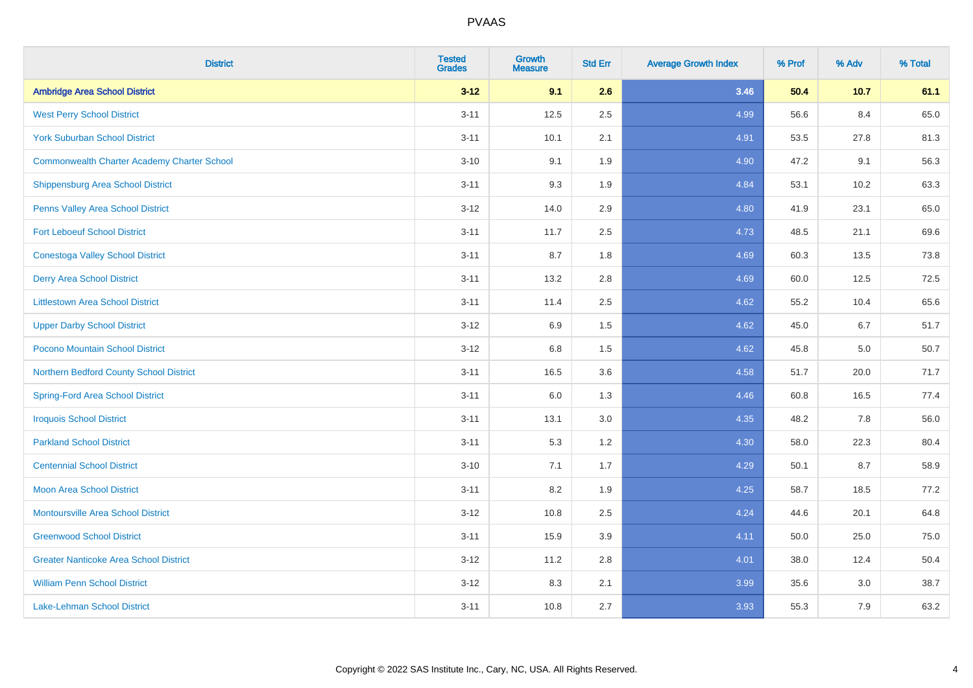| <b>District</b>                                    | <b>Tested</b><br><b>Grades</b> | <b>Growth</b><br><b>Measure</b> | <b>Std Err</b> | <b>Average Growth Index</b> | % Prof | % Adv | % Total |
|----------------------------------------------------|--------------------------------|---------------------------------|----------------|-----------------------------|--------|-------|---------|
| <b>Ambridge Area School District</b>               | $3 - 12$                       | 9.1                             | 2.6            | 3.46                        | 50.4   | 10.7  | 61.1    |
| <b>West Perry School District</b>                  | $3 - 11$                       | 12.5                            | 2.5            | 4.99                        | 56.6   | 8.4   | 65.0    |
| <b>York Suburban School District</b>               | $3 - 11$                       | 10.1                            | 2.1            | 4.91                        | 53.5   | 27.8  | 81.3    |
| <b>Commonwealth Charter Academy Charter School</b> | $3 - 10$                       | 9.1                             | 1.9            | 4.90                        | 47.2   | 9.1   | 56.3    |
| <b>Shippensburg Area School District</b>           | $3 - 11$                       | 9.3                             | 1.9            | 4.84                        | 53.1   | 10.2  | 63.3    |
| Penns Valley Area School District                  | $3 - 12$                       | 14.0                            | 2.9            | 4.80                        | 41.9   | 23.1  | 65.0    |
| <b>Fort Leboeuf School District</b>                | $3 - 11$                       | 11.7                            | 2.5            | 4.73                        | 48.5   | 21.1  | 69.6    |
| <b>Conestoga Valley School District</b>            | $3 - 11$                       | 8.7                             | 1.8            | 4.69                        | 60.3   | 13.5  | 73.8    |
| <b>Derry Area School District</b>                  | $3 - 11$                       | 13.2                            | 2.8            | 4.69                        | 60.0   | 12.5  | 72.5    |
| <b>Littlestown Area School District</b>            | $3 - 11$                       | 11.4                            | 2.5            | 4.62                        | 55.2   | 10.4  | 65.6    |
| <b>Upper Darby School District</b>                 | $3 - 12$                       | 6.9                             | 1.5            | 4.62                        | 45.0   | 6.7   | 51.7    |
| Pocono Mountain School District                    | $3 - 12$                       | 6.8                             | 1.5            | 4.62                        | 45.8   | 5.0   | 50.7    |
| Northern Bedford County School District            | $3 - 11$                       | 16.5                            | 3.6            | 4.58                        | 51.7   | 20.0  | 71.7    |
| <b>Spring-Ford Area School District</b>            | $3 - 11$                       | 6.0                             | 1.3            | 4.46                        | 60.8   | 16.5  | 77.4    |
| <b>Iroquois School District</b>                    | $3 - 11$                       | 13.1                            | 3.0            | 4.35                        | 48.2   | 7.8   | 56.0    |
| <b>Parkland School District</b>                    | $3 - 11$                       | 5.3                             | 1.2            | 4.30                        | 58.0   | 22.3  | 80.4    |
| <b>Centennial School District</b>                  | $3 - 10$                       | 7.1                             | 1.7            | 4.29                        | 50.1   | 8.7   | 58.9    |
| <b>Moon Area School District</b>                   | $3 - 11$                       | 8.2                             | 1.9            | 4.25                        | 58.7   | 18.5  | 77.2    |
| <b>Montoursville Area School District</b>          | $3 - 12$                       | 10.8                            | 2.5            | 4.24                        | 44.6   | 20.1  | 64.8    |
| <b>Greenwood School District</b>                   | $3 - 11$                       | 15.9                            | 3.9            | 4.11                        | 50.0   | 25.0  | 75.0    |
| <b>Greater Nanticoke Area School District</b>      | $3-12$                         | 11.2                            | 2.8            | 4.01                        | 38.0   | 12.4  | 50.4    |
| <b>William Penn School District</b>                | $3 - 12$                       | 8.3                             | 2.1            | 3.99                        | 35.6   | 3.0   | 38.7    |
| Lake-Lehman School District                        | $3 - 11$                       | 10.8                            | 2.7            | 3.93                        | 55.3   | 7.9   | 63.2    |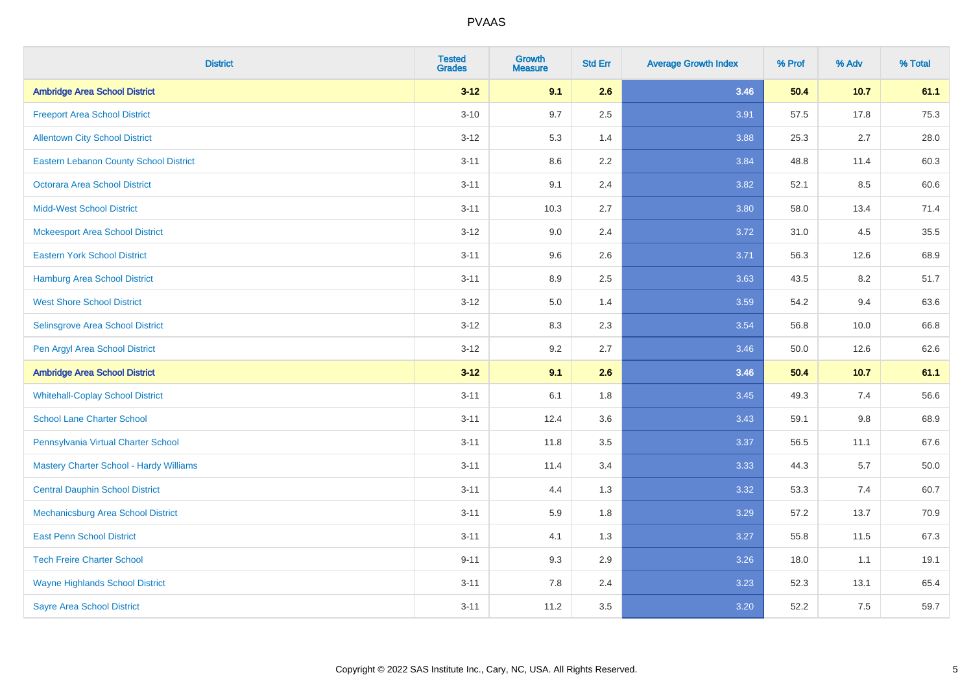| <b>District</b>                               | <b>Tested</b><br><b>Grades</b> | <b>Growth</b><br><b>Measure</b> | <b>Std Err</b> | <b>Average Growth Index</b> | % Prof | % Adv   | % Total |
|-----------------------------------------------|--------------------------------|---------------------------------|----------------|-----------------------------|--------|---------|---------|
| <b>Ambridge Area School District</b>          | $3 - 12$                       | 9.1                             | 2.6            | 3.46                        | 50.4   | 10.7    | 61.1    |
| <b>Freeport Area School District</b>          | $3 - 10$                       | 9.7                             | 2.5            | 3.91                        | 57.5   | 17.8    | 75.3    |
| <b>Allentown City School District</b>         | $3 - 12$                       | 5.3                             | 1.4            | 3.88                        | 25.3   | 2.7     | 28.0    |
| <b>Eastern Lebanon County School District</b> | $3 - 11$                       | 8.6                             | 2.2            | 3.84                        | 48.8   | 11.4    | 60.3    |
| <b>Octorara Area School District</b>          | $3 - 11$                       | 9.1                             | 2.4            | 3.82                        | 52.1   | 8.5     | 60.6    |
| <b>Midd-West School District</b>              | $3 - 11$                       | 10.3                            | 2.7            | 3.80                        | 58.0   | 13.4    | 71.4    |
| <b>Mckeesport Area School District</b>        | $3 - 12$                       | 9.0                             | 2.4            | 3.72                        | 31.0   | 4.5     | 35.5    |
| <b>Eastern York School District</b>           | $3 - 11$                       | 9.6                             | 2.6            | 3.71                        | 56.3   | 12.6    | 68.9    |
| <b>Hamburg Area School District</b>           | $3 - 11$                       | 8.9                             | 2.5            | 3.63                        | 43.5   | 8.2     | 51.7    |
| <b>West Shore School District</b>             | $3 - 12$                       | 5.0                             | 1.4            | 3.59                        | 54.2   | 9.4     | 63.6    |
| Selinsgrove Area School District              | $3 - 12$                       | 8.3                             | 2.3            | 3.54                        | 56.8   | 10.0    | 66.8    |
| Pen Argyl Area School District                | $3 - 12$                       | 9.2                             | 2.7            | 3.46                        | 50.0   | 12.6    | 62.6    |
| <b>Ambridge Area School District</b>          | $3 - 12$                       | 9.1                             | 2.6            | 3.46                        | 50.4   | 10.7    | 61.1    |
| <b>Whitehall-Coplay School District</b>       | $3 - 11$                       | 6.1                             | 1.8            | 3.45                        | 49.3   | 7.4     | 56.6    |
| <b>School Lane Charter School</b>             | $3 - 11$                       | 12.4                            | 3.6            | 3.43                        | 59.1   | $9.8\,$ | 68.9    |
| Pennsylvania Virtual Charter School           | $3 - 11$                       | 11.8                            | 3.5            | 3.37                        | 56.5   | 11.1    | 67.6    |
| Mastery Charter School - Hardy Williams       | $3 - 11$                       | 11.4                            | 3.4            | 3.33                        | 44.3   | 5.7     | 50.0    |
| <b>Central Dauphin School District</b>        | $3 - 11$                       | 4.4                             | 1.3            | 3.32                        | 53.3   | 7.4     | 60.7    |
| Mechanicsburg Area School District            | $3 - 11$                       | 5.9                             | 1.8            | 3.29                        | 57.2   | 13.7    | 70.9    |
| <b>East Penn School District</b>              | $3 - 11$                       | 4.1                             | 1.3            | 3.27                        | 55.8   | 11.5    | 67.3    |
| <b>Tech Freire Charter School</b>             | $9 - 11$                       | 9.3                             | 2.9            | 3.26                        | 18.0   | 1.1     | 19.1    |
| <b>Wayne Highlands School District</b>        | $3 - 11$                       | 7.8                             | 2.4            | 3.23                        | 52.3   | 13.1    | 65.4    |
| <b>Sayre Area School District</b>             | $3 - 11$                       | 11.2                            | 3.5            | 3.20                        | 52.2   | 7.5     | 59.7    |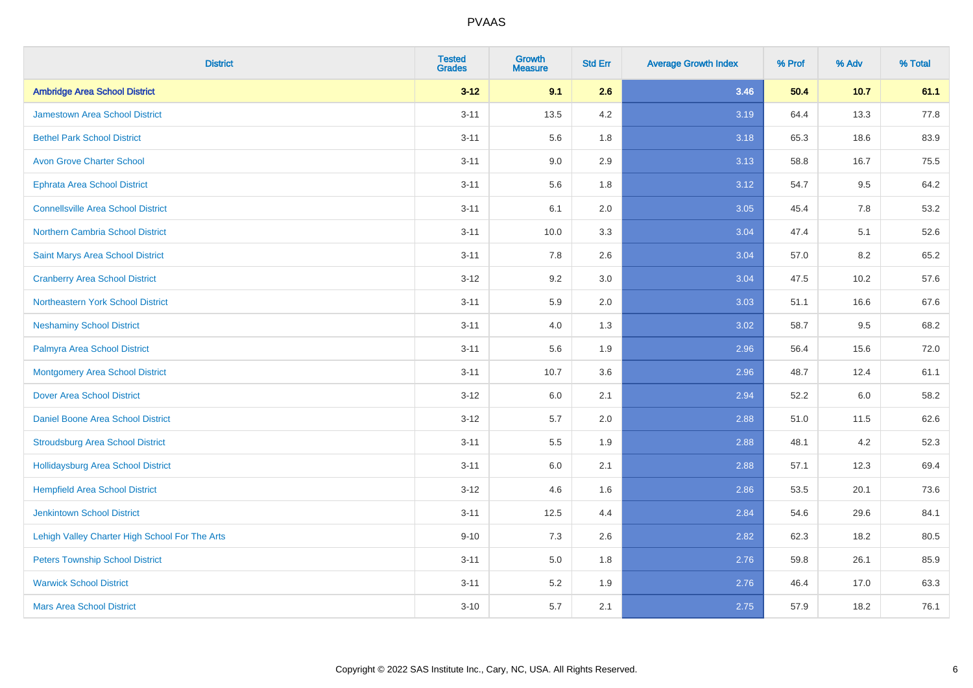| <b>District</b>                                | <b>Tested</b><br><b>Grades</b> | <b>Growth</b><br><b>Measure</b> | <b>Std Err</b> | <b>Average Growth Index</b> | % Prof | % Adv | % Total |
|------------------------------------------------|--------------------------------|---------------------------------|----------------|-----------------------------|--------|-------|---------|
| <b>Ambridge Area School District</b>           | $3 - 12$                       | 9.1                             | 2.6            | 3.46                        | 50.4   | 10.7  | 61.1    |
| <b>Jamestown Area School District</b>          | $3 - 11$                       | 13.5                            | 4.2            | 3.19                        | 64.4   | 13.3  | 77.8    |
| <b>Bethel Park School District</b>             | $3 - 11$                       | 5.6                             | 1.8            | 3.18                        | 65.3   | 18.6  | 83.9    |
| <b>Avon Grove Charter School</b>               | $3 - 11$                       | 9.0                             | 2.9            | 3.13                        | 58.8   | 16.7  | 75.5    |
| <b>Ephrata Area School District</b>            | $3 - 11$                       | 5.6                             | 1.8            | 3.12                        | 54.7   | 9.5   | 64.2    |
| <b>Connellsville Area School District</b>      | $3 - 11$                       | 6.1                             | 2.0            | 3.05                        | 45.4   | 7.8   | 53.2    |
| Northern Cambria School District               | $3 - 11$                       | 10.0                            | 3.3            | 3.04                        | 47.4   | 5.1   | 52.6    |
| <b>Saint Marys Area School District</b>        | $3 - 11$                       | 7.8                             | 2.6            | 3.04                        | 57.0   | 8.2   | 65.2    |
| <b>Cranberry Area School District</b>          | $3-12$                         | 9.2                             | 3.0            | 3.04                        | 47.5   | 10.2  | 57.6    |
| Northeastern York School District              | $3 - 11$                       | 5.9                             | 2.0            | 3.03                        | 51.1   | 16.6  | 67.6    |
| <b>Neshaminy School District</b>               | $3 - 11$                       | 4.0                             | 1.3            | 3.02                        | 58.7   | 9.5   | 68.2    |
| Palmyra Area School District                   | $3 - 11$                       | 5.6                             | 1.9            | 2.96                        | 56.4   | 15.6  | 72.0    |
| Montgomery Area School District                | $3 - 11$                       | 10.7                            | 3.6            | 2.96                        | 48.7   | 12.4  | 61.1    |
| <b>Dover Area School District</b>              | $3 - 12$                       | 6.0                             | 2.1            | 2.94                        | 52.2   | 6.0   | 58.2    |
| <b>Daniel Boone Area School District</b>       | $3-12$                         | 5.7                             | 2.0            | 2.88                        | 51.0   | 11.5  | 62.6    |
| <b>Stroudsburg Area School District</b>        | $3 - 11$                       | $5.5\,$                         | 1.9            | 2.88                        | 48.1   | 4.2   | 52.3    |
| Hollidaysburg Area School District             | $3 - 11$                       | 6.0                             | 2.1            | 2.88                        | 57.1   | 12.3  | 69.4    |
| <b>Hempfield Area School District</b>          | $3-12$                         | 4.6                             | 1.6            | 2.86                        | 53.5   | 20.1  | 73.6    |
| <b>Jenkintown School District</b>              | $3 - 11$                       | 12.5                            | 4.4            | 2.84                        | 54.6   | 29.6  | 84.1    |
| Lehigh Valley Charter High School For The Arts | $9 - 10$                       | 7.3                             | 2.6            | 2.82                        | 62.3   | 18.2  | 80.5    |
| <b>Peters Township School District</b>         | $3 - 11$                       | 5.0                             | 1.8            | 2.76                        | 59.8   | 26.1  | 85.9    |
| <b>Warwick School District</b>                 | $3 - 11$                       | 5.2                             | 1.9            | 2.76                        | 46.4   | 17.0  | 63.3    |
| <b>Mars Area School District</b>               | $3 - 10$                       | 5.7                             | 2.1            | 2.75                        | 57.9   | 18.2  | 76.1    |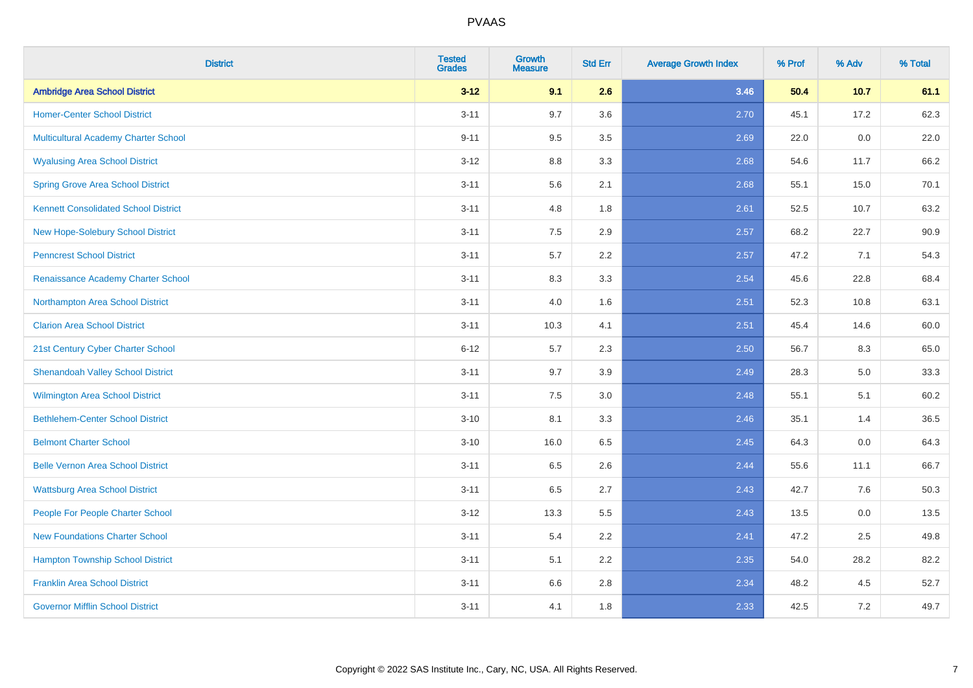| <b>District</b>                             | <b>Tested</b><br><b>Grades</b> | <b>Growth</b><br><b>Measure</b> | <b>Std Err</b> | <b>Average Growth Index</b> | % Prof | % Adv | % Total |
|---------------------------------------------|--------------------------------|---------------------------------|----------------|-----------------------------|--------|-------|---------|
| <b>Ambridge Area School District</b>        | $3 - 12$                       | 9.1                             | 2.6            | 3.46                        | 50.4   | 10.7  | 61.1    |
| <b>Homer-Center School District</b>         | $3 - 11$                       | 9.7                             | 3.6            | 2.70                        | 45.1   | 17.2  | 62.3    |
| Multicultural Academy Charter School        | $9 - 11$                       | 9.5                             | 3.5            | 2.69                        | 22.0   | 0.0   | 22.0    |
| <b>Wyalusing Area School District</b>       | $3-12$                         | 8.8                             | 3.3            | 2.68                        | 54.6   | 11.7  | 66.2    |
| <b>Spring Grove Area School District</b>    | $3 - 11$                       | 5.6                             | 2.1            | 2.68                        | 55.1   | 15.0  | 70.1    |
| <b>Kennett Consolidated School District</b> | $3 - 11$                       | 4.8                             | 1.8            | 2.61                        | 52.5   | 10.7  | 63.2    |
| New Hope-Solebury School District           | $3 - 11$                       | 7.5                             | 2.9            | 2.57                        | 68.2   | 22.7  | 90.9    |
| <b>Penncrest School District</b>            | $3 - 11$                       | 5.7                             | 2.2            | 2.57                        | 47.2   | 7.1   | 54.3    |
| Renaissance Academy Charter School          | $3 - 11$                       | 8.3                             | 3.3            | 2.54                        | 45.6   | 22.8  | 68.4    |
| Northampton Area School District            | $3 - 11$                       | 4.0                             | 1.6            | 2.51                        | 52.3   | 10.8  | 63.1    |
| <b>Clarion Area School District</b>         | $3 - 11$                       | 10.3                            | 4.1            | 2.51                        | 45.4   | 14.6  | 60.0    |
| 21st Century Cyber Charter School           | $6 - 12$                       | 5.7                             | 2.3            | 2.50                        | 56.7   | 8.3   | 65.0    |
| <b>Shenandoah Valley School District</b>    | $3 - 11$                       | 9.7                             | 3.9            | 2.49                        | 28.3   | 5.0   | 33.3    |
| <b>Wilmington Area School District</b>      | $3 - 11$                       | $7.5\,$                         | 3.0            | 2.48                        | 55.1   | 5.1   | 60.2    |
| <b>Bethlehem-Center School District</b>     | $3 - 10$                       | 8.1                             | 3.3            | 2.46                        | 35.1   | 1.4   | 36.5    |
| <b>Belmont Charter School</b>               | $3 - 10$                       | 16.0                            | 6.5            | 2.45                        | 64.3   | 0.0   | 64.3    |
| <b>Belle Vernon Area School District</b>    | $3 - 11$                       | 6.5                             | 2.6            | 2.44                        | 55.6   | 11.1  | 66.7    |
| <b>Wattsburg Area School District</b>       | $3 - 11$                       | 6.5                             | 2.7            | 2.43                        | 42.7   | 7.6   | 50.3    |
| People For People Charter School            | $3 - 12$                       | 13.3                            | 5.5            | 2.43                        | 13.5   | 0.0   | 13.5    |
| <b>New Foundations Charter School</b>       | $3 - 11$                       | 5.4                             | 2.2            | 2.41                        | 47.2   | 2.5   | 49.8    |
| <b>Hampton Township School District</b>     | $3 - 11$                       | 5.1                             | 2.2            | 2.35                        | 54.0   | 28.2  | 82.2    |
| <b>Franklin Area School District</b>        | $3 - 11$                       | 6.6                             | 2.8            | 2.34                        | 48.2   | 4.5   | 52.7    |
| <b>Governor Mifflin School District</b>     | $3 - 11$                       | 4.1                             | 1.8            | 2.33                        | 42.5   | 7.2   | 49.7    |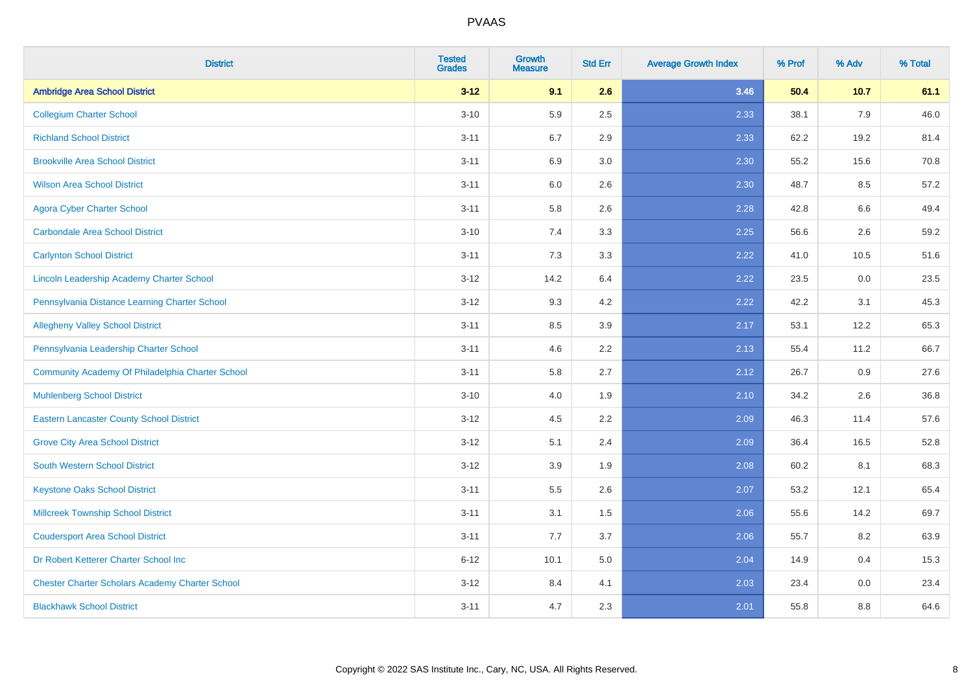| <b>District</b>                                        | <b>Tested</b><br><b>Grades</b> | <b>Growth</b><br><b>Measure</b> | <b>Std Err</b> | <b>Average Growth Index</b> | % Prof | % Adv | % Total |
|--------------------------------------------------------|--------------------------------|---------------------------------|----------------|-----------------------------|--------|-------|---------|
| <b>Ambridge Area School District</b>                   | $3 - 12$                       | 9.1                             | 2.6            | 3.46                        | 50.4   | 10.7  | 61.1    |
| <b>Collegium Charter School</b>                        | $3 - 10$                       | 5.9                             | 2.5            | 2.33                        | 38.1   | 7.9   | 46.0    |
| <b>Richland School District</b>                        | $3 - 11$                       | 6.7                             | 2.9            | 2.33                        | 62.2   | 19.2  | 81.4    |
| <b>Brookville Area School District</b>                 | $3 - 11$                       | 6.9                             | 3.0            | 2.30                        | 55.2   | 15.6  | 70.8    |
| <b>Wilson Area School District</b>                     | $3 - 11$                       | 6.0                             | 2.6            | 2.30                        | 48.7   | 8.5   | 57.2    |
| <b>Agora Cyber Charter School</b>                      | $3 - 11$                       | 5.8                             | 2.6            | 2.28                        | 42.8   | 6.6   | 49.4    |
| <b>Carbondale Area School District</b>                 | $3 - 10$                       | 7.4                             | 3.3            | 2.25                        | 56.6   | 2.6   | 59.2    |
| <b>Carlynton School District</b>                       | $3 - 11$                       | 7.3                             | 3.3            | 2.22                        | 41.0   | 10.5  | 51.6    |
| Lincoln Leadership Academy Charter School              | $3 - 12$                       | 14.2                            | 6.4            | 2.22                        | 23.5   | 0.0   | 23.5    |
| Pennsylvania Distance Learning Charter School          | $3 - 12$                       | 9.3                             | 4.2            | 2.22                        | 42.2   | 3.1   | 45.3    |
| <b>Allegheny Valley School District</b>                | $3 - 11$                       | 8.5                             | 3.9            | 2.17                        | 53.1   | 12.2  | 65.3    |
| Pennsylvania Leadership Charter School                 | $3 - 11$                       | 4.6                             | 2.2            | 2.13                        | 55.4   | 11.2  | 66.7    |
| Community Academy Of Philadelphia Charter School       | $3 - 11$                       | 5.8                             | 2.7            | 2.12                        | 26.7   | 0.9   | 27.6    |
| <b>Muhlenberg School District</b>                      | $3 - 10$                       | 4.0                             | 1.9            | 2.10                        | 34.2   | 2.6   | 36.8    |
| <b>Eastern Lancaster County School District</b>        | $3 - 12$                       | 4.5                             | 2.2            | 2.09                        | 46.3   | 11.4  | 57.6    |
| <b>Grove City Area School District</b>                 | $3 - 12$                       | 5.1                             | 2.4            | 2.09                        | 36.4   | 16.5  | 52.8    |
| <b>South Western School District</b>                   | $3 - 12$                       | 3.9                             | 1.9            | 2.08                        | 60.2   | 8.1   | 68.3    |
| <b>Keystone Oaks School District</b>                   | $3 - 11$                       | 5.5                             | 2.6            | 2.07                        | 53.2   | 12.1  | 65.4    |
| <b>Millcreek Township School District</b>              | $3 - 11$                       | 3.1                             | 1.5            | 2.06                        | 55.6   | 14.2  | 69.7    |
| <b>Coudersport Area School District</b>                | $3 - 11$                       | 7.7                             | 3.7            | 2.06                        | 55.7   | 8.2   | 63.9    |
| Dr Robert Ketterer Charter School Inc                  | $6 - 12$                       | 10.1                            | 5.0            | 2.04                        | 14.9   | 0.4   | 15.3    |
| <b>Chester Charter Scholars Academy Charter School</b> | $3 - 12$                       | 8.4                             | 4.1            | 2.03                        | 23.4   | 0.0   | 23.4    |
| <b>Blackhawk School District</b>                       | $3 - 11$                       | 4.7                             | 2.3            | 2.01                        | 55.8   | 8.8   | 64.6    |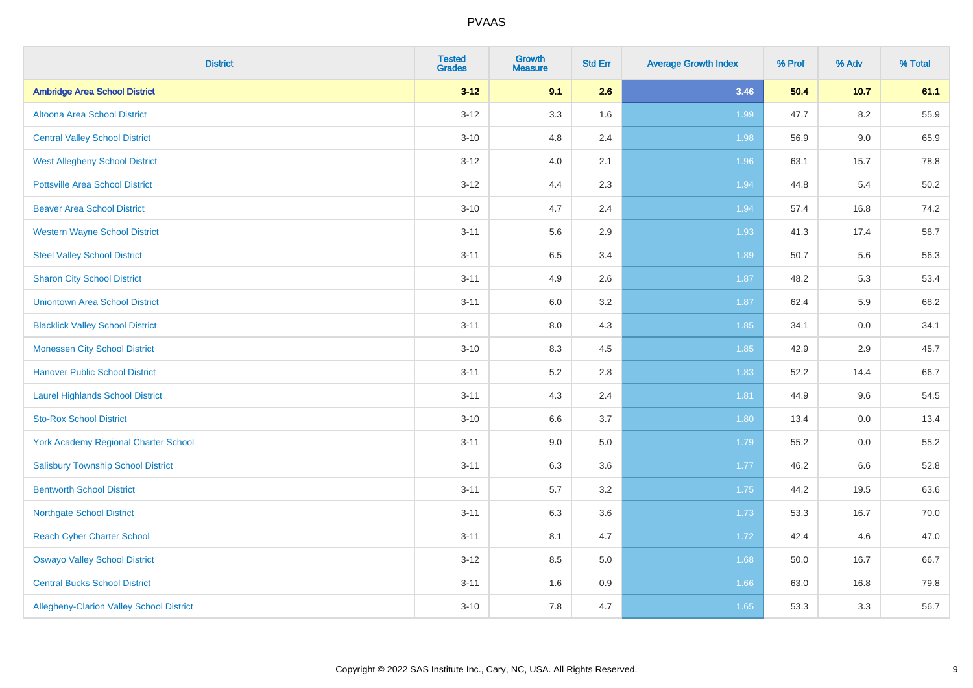| <b>District</b>                                 | <b>Tested</b><br><b>Grades</b> | <b>Growth</b><br><b>Measure</b> | <b>Std Err</b> | <b>Average Growth Index</b> | % Prof | % Adv   | % Total |
|-------------------------------------------------|--------------------------------|---------------------------------|----------------|-----------------------------|--------|---------|---------|
| <b>Ambridge Area School District</b>            | $3 - 12$                       | 9.1                             | 2.6            | 3.46                        | 50.4   | 10.7    | 61.1    |
| Altoona Area School District                    | $3 - 12$                       | 3.3                             | 1.6            | 1.99                        | 47.7   | $8.2\,$ | 55.9    |
| <b>Central Valley School District</b>           | $3 - 10$                       | 4.8                             | 2.4            | 1.98                        | 56.9   | $9.0\,$ | 65.9    |
| <b>West Allegheny School District</b>           | $3 - 12$                       | 4.0                             | 2.1            | 1.96                        | 63.1   | 15.7    | 78.8    |
| <b>Pottsville Area School District</b>          | $3 - 12$                       | 4.4                             | 2.3            | 1.94                        | 44.8   | 5.4     | 50.2    |
| <b>Beaver Area School District</b>              | $3 - 10$                       | 4.7                             | 2.4            | 1.94                        | 57.4   | 16.8    | 74.2    |
| <b>Western Wayne School District</b>            | $3 - 11$                       | 5.6                             | 2.9            | 1.93                        | 41.3   | 17.4    | 58.7    |
| <b>Steel Valley School District</b>             | $3 - 11$                       | 6.5                             | 3.4            | 1.89                        | 50.7   | 5.6     | 56.3    |
| <b>Sharon City School District</b>              | $3 - 11$                       | 4.9                             | 2.6            | 1.87                        | 48.2   | 5.3     | 53.4    |
| <b>Uniontown Area School District</b>           | $3 - 11$                       | 6.0                             | 3.2            | 1.87                        | 62.4   | 5.9     | 68.2    |
| <b>Blacklick Valley School District</b>         | $3 - 11$                       | 8.0                             | 4.3            | 1.85                        | 34.1   | 0.0     | 34.1    |
| <b>Monessen City School District</b>            | $3 - 10$                       | 8.3                             | 4.5            | 1.85                        | 42.9   | 2.9     | 45.7    |
| <b>Hanover Public School District</b>           | $3 - 11$                       | 5.2                             | 2.8            | 1.83                        | 52.2   | 14.4    | 66.7    |
| <b>Laurel Highlands School District</b>         | $3 - 11$                       | 4.3                             | 2.4            | 1.81                        | 44.9   | 9.6     | 54.5    |
| <b>Sto-Rox School District</b>                  | $3 - 10$                       | 6.6                             | 3.7            | 1.80                        | 13.4   | 0.0     | 13.4    |
| <b>York Academy Regional Charter School</b>     | $3 - 11$                       | 9.0                             | 5.0            | 1.79                        | 55.2   | $0.0\,$ | 55.2    |
| <b>Salisbury Township School District</b>       | $3 - 11$                       | 6.3                             | 3.6            | 1.77                        | 46.2   | 6.6     | 52.8    |
| <b>Bentworth School District</b>                | $3 - 11$                       | 5.7                             | 3.2            | 1.75                        | 44.2   | 19.5    | 63.6    |
| <b>Northgate School District</b>                | $3 - 11$                       | 6.3                             | 3.6            | 1.73                        | 53.3   | 16.7    | 70.0    |
| <b>Reach Cyber Charter School</b>               | $3 - 11$                       | 8.1                             | 4.7            | 1.72                        | 42.4   | 4.6     | 47.0    |
| <b>Oswayo Valley School District</b>            | $3 - 12$                       | 8.5                             | 5.0            | 1.68                        | 50.0   | 16.7    | 66.7    |
| <b>Central Bucks School District</b>            | $3 - 11$                       | 1.6                             | 0.9            | 1.66                        | 63.0   | 16.8    | 79.8    |
| <b>Allegheny-Clarion Valley School District</b> | $3 - 10$                       | 7.8                             | 4.7            | 1.65                        | 53.3   | 3.3     | 56.7    |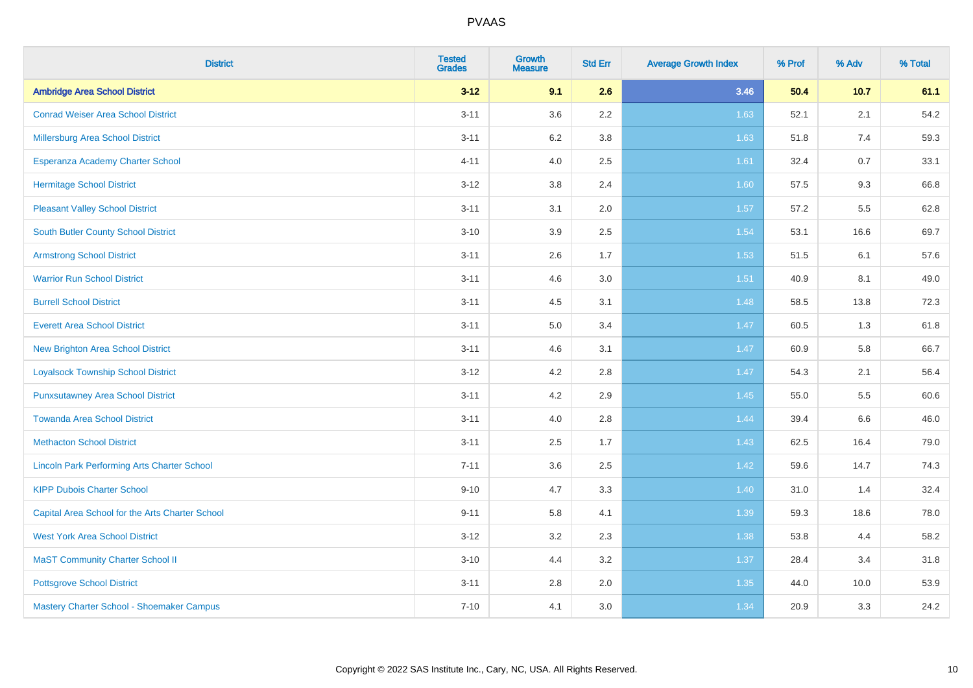| <b>District</b>                                    | <b>Tested</b><br><b>Grades</b> | <b>Growth</b><br><b>Measure</b> | <b>Std Err</b> | <b>Average Growth Index</b> | % Prof | % Adv | % Total |
|----------------------------------------------------|--------------------------------|---------------------------------|----------------|-----------------------------|--------|-------|---------|
| <b>Ambridge Area School District</b>               | $3 - 12$                       | 9.1                             | 2.6            | 3.46                        | 50.4   | 10.7  | 61.1    |
| <b>Conrad Weiser Area School District</b>          | $3 - 11$                       | 3.6                             | 2.2            | 1.63                        | 52.1   | 2.1   | 54.2    |
| Millersburg Area School District                   | $3 - 11$                       | $6.2\,$                         | 3.8            | 1.63                        | 51.8   | 7.4   | 59.3    |
| Esperanza Academy Charter School                   | $4 - 11$                       | 4.0                             | 2.5            | 1.61                        | 32.4   | 0.7   | 33.1    |
| <b>Hermitage School District</b>                   | $3 - 12$                       | 3.8                             | 2.4            | 1.60                        | 57.5   | 9.3   | 66.8    |
| <b>Pleasant Valley School District</b>             | $3 - 11$                       | 3.1                             | 2.0            | 1.57                        | 57.2   | 5.5   | 62.8    |
| <b>South Butler County School District</b>         | $3 - 10$                       | 3.9                             | 2.5            | 1.54                        | 53.1   | 16.6  | 69.7    |
| <b>Armstrong School District</b>                   | $3 - 11$                       | 2.6                             | 1.7            | 1.53                        | 51.5   | 6.1   | 57.6    |
| <b>Warrior Run School District</b>                 | $3 - 11$                       | 4.6                             | 3.0            | 1.51                        | 40.9   | 8.1   | 49.0    |
| <b>Burrell School District</b>                     | $3 - 11$                       | 4.5                             | 3.1            | 1.48                        | 58.5   | 13.8  | 72.3    |
| <b>Everett Area School District</b>                | $3 - 11$                       | 5.0                             | 3.4            | 1.47                        | 60.5   | 1.3   | 61.8    |
| <b>New Brighton Area School District</b>           | $3 - 11$                       | 4.6                             | 3.1            | 1.47                        | 60.9   | 5.8   | 66.7    |
| <b>Loyalsock Township School District</b>          | $3 - 12$                       | 4.2                             | 2.8            | 1.47                        | 54.3   | 2.1   | 56.4    |
| <b>Punxsutawney Area School District</b>           | $3 - 11$                       | 4.2                             | 2.9            | 1.45                        | 55.0   | 5.5   | 60.6    |
| <b>Towanda Area School District</b>                | $3 - 11$                       | 4.0                             | 2.8            | 1.44                        | 39.4   | 6.6   | 46.0    |
| <b>Methacton School District</b>                   | $3 - 11$                       | 2.5                             | 1.7            | 1.43                        | 62.5   | 16.4  | 79.0    |
| <b>Lincoln Park Performing Arts Charter School</b> | $7 - 11$                       | 3.6                             | 2.5            | 1.42                        | 59.6   | 14.7  | 74.3    |
| <b>KIPP Dubois Charter School</b>                  | $9 - 10$                       | 4.7                             | 3.3            | 1.40                        | 31.0   | 1.4   | 32.4    |
| Capital Area School for the Arts Charter School    | $9 - 11$                       | 5.8                             | 4.1            | 1.39                        | 59.3   | 18.6  | 78.0    |
| <b>West York Area School District</b>              | $3 - 12$                       | 3.2                             | 2.3            | 1.38                        | 53.8   | 4.4   | 58.2    |
| <b>MaST Community Charter School II</b>            | $3 - 10$                       | 4.4                             | 3.2            | 1.37                        | 28.4   | 3.4   | 31.8    |
| <b>Pottsgrove School District</b>                  | $3 - 11$                       | 2.8                             | 2.0            | 1.35                        | 44.0   | 10.0  | 53.9    |
| Mastery Charter School - Shoemaker Campus          | $7 - 10$                       | 4.1                             | 3.0            | 1.34                        | 20.9   | 3.3   | 24.2    |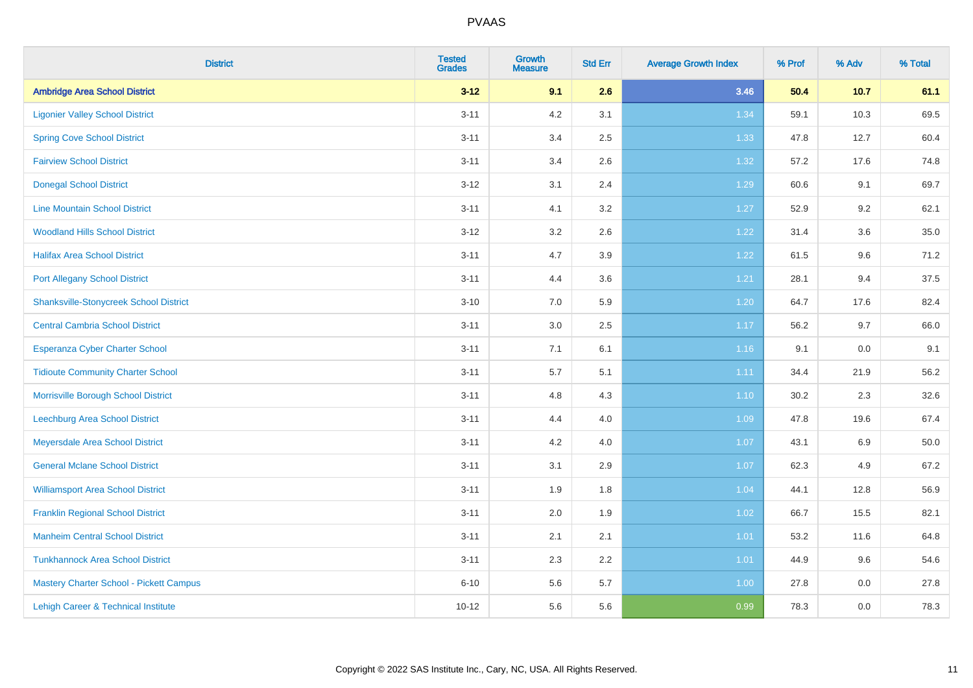| <b>District</b>                               | <b>Tested</b><br><b>Grades</b> | <b>Growth</b><br><b>Measure</b> | <b>Std Err</b> | <b>Average Growth Index</b> | % Prof | % Adv | % Total |
|-----------------------------------------------|--------------------------------|---------------------------------|----------------|-----------------------------|--------|-------|---------|
| <b>Ambridge Area School District</b>          | $3 - 12$                       | 9.1                             | 2.6            | 3.46                        | 50.4   | 10.7  | 61.1    |
| <b>Ligonier Valley School District</b>        | $3 - 11$                       | 4.2                             | 3.1            | 1.34                        | 59.1   | 10.3  | 69.5    |
| <b>Spring Cove School District</b>            | $3 - 11$                       | 3.4                             | 2.5            | 1.33                        | 47.8   | 12.7  | 60.4    |
| <b>Fairview School District</b>               | $3 - 11$                       | 3.4                             | 2.6            | 1.32                        | 57.2   | 17.6  | 74.8    |
| <b>Donegal School District</b>                | $3 - 12$                       | 3.1                             | 2.4            | 1.29                        | 60.6   | 9.1   | 69.7    |
| <b>Line Mountain School District</b>          | $3 - 11$                       | 4.1                             | 3.2            | 1.27                        | 52.9   | 9.2   | 62.1    |
| <b>Woodland Hills School District</b>         | $3 - 12$                       | 3.2                             | 2.6            | 1.22                        | 31.4   | 3.6   | 35.0    |
| <b>Halifax Area School District</b>           | $3 - 11$                       | 4.7                             | 3.9            | 1.22                        | 61.5   | 9.6   | 71.2    |
| <b>Port Allegany School District</b>          | $3 - 11$                       | 4.4                             | 3.6            | 1.21                        | 28.1   | 9.4   | 37.5    |
| <b>Shanksville-Stonycreek School District</b> | $3 - 10$                       | 7.0                             | 5.9            | 1.20                        | 64.7   | 17.6  | 82.4    |
| <b>Central Cambria School District</b>        | $3 - 11$                       | 3.0                             | 2.5            | 1.17                        | 56.2   | 9.7   | 66.0    |
| Esperanza Cyber Charter School                | $3 - 11$                       | 7.1                             | 6.1            | 1.16                        | 9.1    | 0.0   | 9.1     |
| <b>Tidioute Community Charter School</b>      | $3 - 11$                       | $5.7\,$                         | 5.1            | 1.11                        | 34.4   | 21.9  | 56.2    |
| Morrisville Borough School District           | $3 - 11$                       | 4.8                             | 4.3            | 1.10                        | 30.2   | 2.3   | 32.6    |
| <b>Leechburg Area School District</b>         | $3 - 11$                       | 4.4                             | 4.0            | 1.09                        | 47.8   | 19.6  | 67.4    |
| Meyersdale Area School District               | $3 - 11$                       | 4.2                             | 4.0            | 1.07                        | 43.1   | 6.9   | 50.0    |
| <b>General Mclane School District</b>         | $3 - 11$                       | 3.1                             | 2.9            | 1.07                        | 62.3   | 4.9   | 67.2    |
| <b>Williamsport Area School District</b>      | $3 - 11$                       | 1.9                             | 1.8            | 1.04                        | 44.1   | 12.8  | 56.9    |
| <b>Franklin Regional School District</b>      | $3 - 11$                       | 2.0                             | 1.9            | 1.02                        | 66.7   | 15.5  | 82.1    |
| <b>Manheim Central School District</b>        | $3 - 11$                       | 2.1                             | 2.1            | $1.01$                      | 53.2   | 11.6  | 64.8    |
| <b>Tunkhannock Area School District</b>       | $3 - 11$                       | 2.3                             | 2.2            | 1.01                        | 44.9   | 9.6   | 54.6    |
| Mastery Charter School - Pickett Campus       | $6 - 10$                       | 5.6                             | 5.7            | 1.00                        | 27.8   | 0.0   | 27.8    |
| Lehigh Career & Technical Institute           | $10 - 12$                      | 5.6                             | 5.6            | 0.99                        | 78.3   | 0.0   | 78.3    |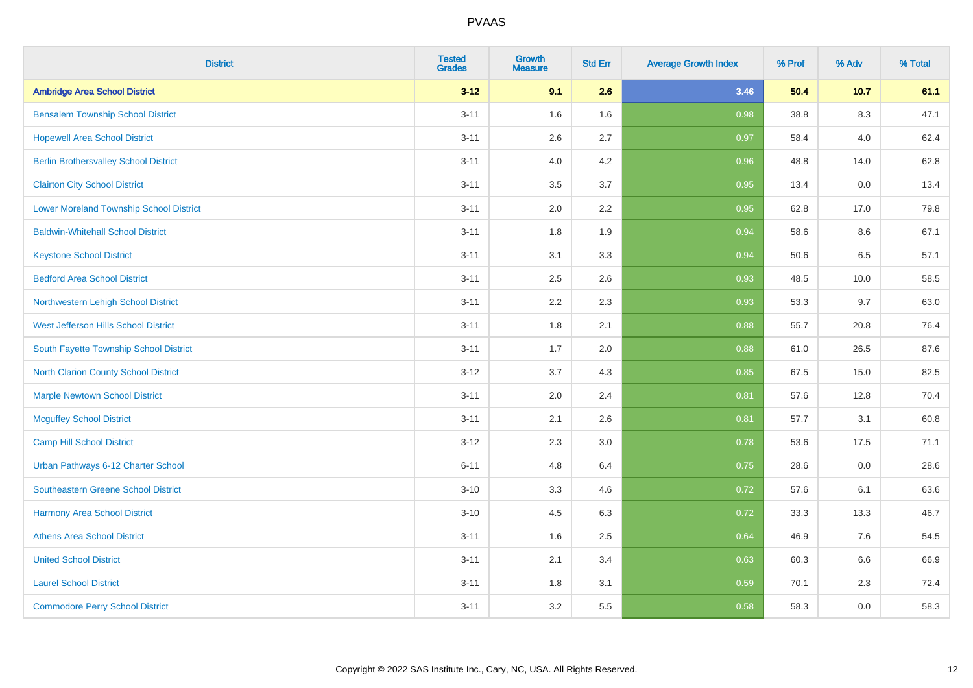| <b>District</b>                              | <b>Tested</b><br><b>Grades</b> | <b>Growth</b><br><b>Measure</b> | <b>Std Err</b> | <b>Average Growth Index</b> | % Prof | % Adv   | % Total |
|----------------------------------------------|--------------------------------|---------------------------------|----------------|-----------------------------|--------|---------|---------|
| <b>Ambridge Area School District</b>         | $3 - 12$                       | 9.1                             | 2.6            | 3.46                        | 50.4   | 10.7    | 61.1    |
| <b>Bensalem Township School District</b>     | $3 - 11$                       | 1.6                             | 1.6            | 0.98                        | 38.8   | $8.3\,$ | 47.1    |
| <b>Hopewell Area School District</b>         | $3 - 11$                       | 2.6                             | 2.7            | 0.97                        | 58.4   | 4.0     | 62.4    |
| <b>Berlin Brothersvalley School District</b> | $3 - 11$                       | 4.0                             | 4.2            | 0.96                        | 48.8   | 14.0    | 62.8    |
| <b>Clairton City School District</b>         | $3 - 11$                       | 3.5                             | 3.7            | 0.95                        | 13.4   | 0.0     | 13.4    |
| Lower Moreland Township School District      | $3 - 11$                       | 2.0                             | 2.2            | 0.95                        | 62.8   | 17.0    | 79.8    |
| <b>Baldwin-Whitehall School District</b>     | $3 - 11$                       | 1.8                             | 1.9            | 0.94                        | 58.6   | 8.6     | 67.1    |
| <b>Keystone School District</b>              | $3 - 11$                       | 3.1                             | 3.3            | 0.94                        | 50.6   | 6.5     | 57.1    |
| <b>Bedford Area School District</b>          | $3 - 11$                       | 2.5                             | 2.6            | 0.93                        | 48.5   | 10.0    | 58.5    |
| Northwestern Lehigh School District          | $3 - 11$                       | 2.2                             | 2.3            | 0.93                        | 53.3   | 9.7     | 63.0    |
| West Jefferson Hills School District         | $3 - 11$                       | 1.8                             | 2.1            | 0.88                        | 55.7   | 20.8    | 76.4    |
| South Fayette Township School District       | $3 - 11$                       | 1.7                             | 2.0            | 0.88                        | 61.0   | 26.5    | 87.6    |
| <b>North Clarion County School District</b>  | $3-12$                         | 3.7                             | 4.3            | 0.85                        | 67.5   | 15.0    | 82.5    |
| <b>Marple Newtown School District</b>        | $3 - 11$                       | 2.0                             | 2.4            | 0.81                        | 57.6   | 12.8    | 70.4    |
| <b>Mcguffey School District</b>              | $3 - 11$                       | 2.1                             | 2.6            | 0.81                        | 57.7   | 3.1     | 60.8    |
| Camp Hill School District                    | $3-12$                         | 2.3                             | 3.0            | 0.78                        | 53.6   | 17.5    | 71.1    |
| Urban Pathways 6-12 Charter School           | $6 - 11$                       | 4.8                             | 6.4            | 0.75                        | 28.6   | 0.0     | 28.6    |
| Southeastern Greene School District          | $3 - 10$                       | 3.3                             | 4.6            | 0.72                        | 57.6   | 6.1     | 63.6    |
| <b>Harmony Area School District</b>          | $3 - 10$                       | 4.5                             | 6.3            | 0.72                        | 33.3   | 13.3    | 46.7    |
| <b>Athens Area School District</b>           | $3 - 11$                       | 1.6                             | 2.5            | 0.64                        | 46.9   | 7.6     | 54.5    |
| <b>United School District</b>                | $3 - 11$                       | 2.1                             | 3.4            | 0.63                        | 60.3   | 6.6     | 66.9    |
| <b>Laurel School District</b>                | $3 - 11$                       | 1.8                             | 3.1            | 0.59                        | 70.1   | 2.3     | 72.4    |
| <b>Commodore Perry School District</b>       | $3 - 11$                       | 3.2                             | 5.5            | 0.58                        | 58.3   | 0.0     | 58.3    |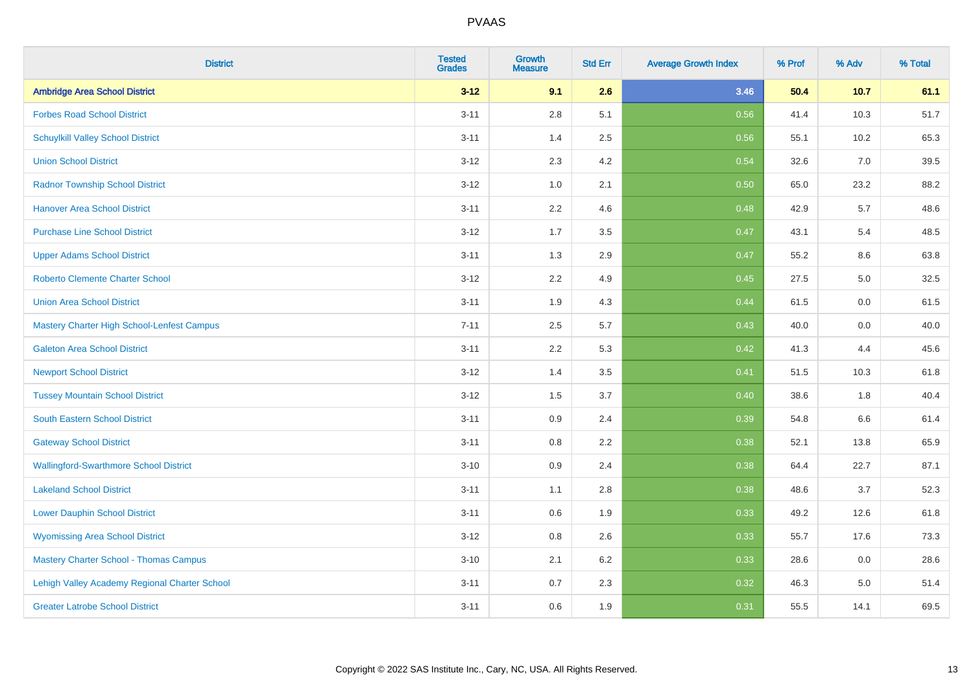| <b>District</b>                               | <b>Tested</b><br><b>Grades</b> | <b>Growth</b><br><b>Measure</b> | <b>Std Err</b> | <b>Average Growth Index</b> | % Prof | % Adv | % Total |
|-----------------------------------------------|--------------------------------|---------------------------------|----------------|-----------------------------|--------|-------|---------|
| <b>Ambridge Area School District</b>          | $3 - 12$                       | 9.1                             | 2.6            | 3.46                        | 50.4   | 10.7  | 61.1    |
| <b>Forbes Road School District</b>            | $3 - 11$                       | 2.8                             | 5.1            | 0.56                        | 41.4   | 10.3  | 51.7    |
| <b>Schuylkill Valley School District</b>      | $3 - 11$                       | 1.4                             | 2.5            | 0.56                        | 55.1   | 10.2  | 65.3    |
| <b>Union School District</b>                  | $3 - 12$                       | 2.3                             | 4.2            | 0.54                        | 32.6   | 7.0   | 39.5    |
| <b>Radnor Township School District</b>        | $3 - 12$                       | 1.0                             | 2.1            | 0.50                        | 65.0   | 23.2  | 88.2    |
| <b>Hanover Area School District</b>           | $3 - 11$                       | 2.2                             | 4.6            | 0.48                        | 42.9   | 5.7   | 48.6    |
| <b>Purchase Line School District</b>          | $3 - 12$                       | 1.7                             | 3.5            | 0.47                        | 43.1   | 5.4   | 48.5    |
| <b>Upper Adams School District</b>            | $3 - 11$                       | 1.3                             | 2.9            | 0.47                        | 55.2   | 8.6   | 63.8    |
| <b>Roberto Clemente Charter School</b>        | $3 - 12$                       | 2.2                             | 4.9            | 0.45                        | 27.5   | 5.0   | 32.5    |
| <b>Union Area School District</b>             | $3 - 11$                       | 1.9                             | 4.3            | 0.44                        | 61.5   | 0.0   | 61.5    |
| Mastery Charter High School-Lenfest Campus    | $7 - 11$                       | 2.5                             | 5.7            | $\boxed{0.43}$              | 40.0   | 0.0   | 40.0    |
| <b>Galeton Area School District</b>           | $3 - 11$                       | 2.2                             | 5.3            | 0.42                        | 41.3   | 4.4   | 45.6    |
| <b>Newport School District</b>                | $3 - 12$                       | 1.4                             | 3.5            | 0.41                        | 51.5   | 10.3  | 61.8    |
| <b>Tussey Mountain School District</b>        | $3 - 12$                       | 1.5                             | 3.7            | 0.40                        | 38.6   | 1.8   | 40.4    |
| <b>South Eastern School District</b>          | $3 - 11$                       | 0.9                             | 2.4            | 0.39                        | 54.8   | 6.6   | 61.4    |
| <b>Gateway School District</b>                | $3 - 11$                       | 0.8                             | 2.2            | 0.38                        | 52.1   | 13.8  | 65.9    |
| <b>Wallingford-Swarthmore School District</b> | $3 - 10$                       | 0.9                             | 2.4            | 0.38                        | 64.4   | 22.7  | 87.1    |
| <b>Lakeland School District</b>               | $3 - 11$                       | 1.1                             | 2.8            | 0.38                        | 48.6   | 3.7   | 52.3    |
| <b>Lower Dauphin School District</b>          | $3 - 11$                       | $0.6\,$                         | 1.9            | 0.33                        | 49.2   | 12.6  | 61.8    |
| <b>Wyomissing Area School District</b>        | $3 - 12$                       | $0.8\,$                         | 2.6            | 0.33                        | 55.7   | 17.6  | 73.3    |
| <b>Mastery Charter School - Thomas Campus</b> | $3 - 10$                       | 2.1                             | 6.2            | 0.33                        | 28.6   | 0.0   | 28.6    |
| Lehigh Valley Academy Regional Charter School | $3 - 11$                       | 0.7                             | 2.3            | 0.32                        | 46.3   | 5.0   | 51.4    |
| <b>Greater Latrobe School District</b>        | $3 - 11$                       | 0.6                             | 1.9            | 0.31                        | 55.5   | 14.1  | 69.5    |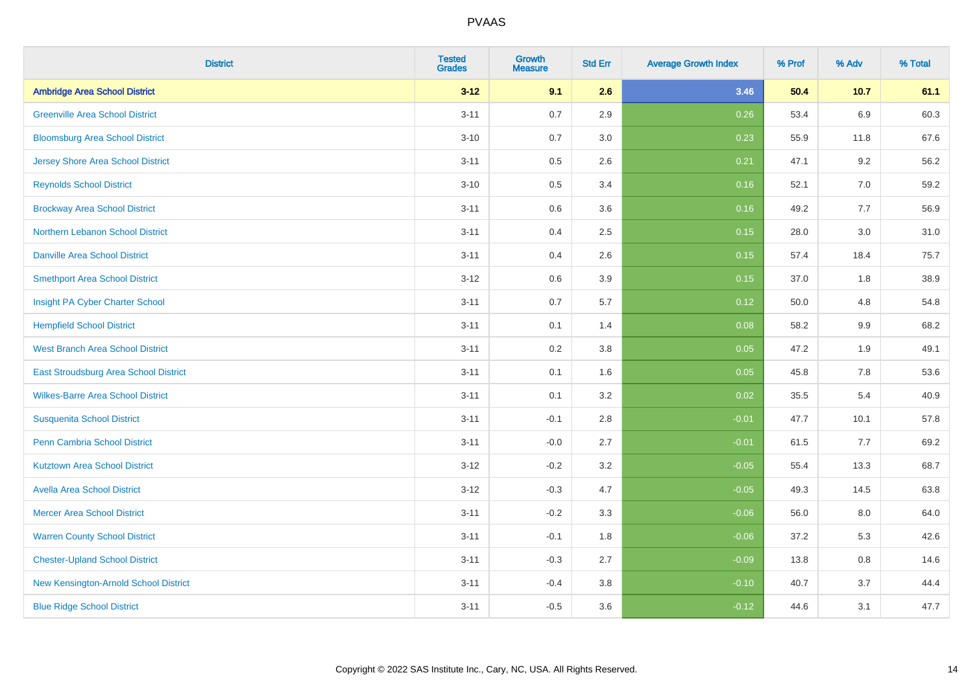| <b>District</b>                          | <b>Tested</b><br><b>Grades</b> | <b>Growth</b><br><b>Measure</b> | <b>Std Err</b> | <b>Average Growth Index</b> | % Prof | % Adv   | % Total |
|------------------------------------------|--------------------------------|---------------------------------|----------------|-----------------------------|--------|---------|---------|
| <b>Ambridge Area School District</b>     | $3 - 12$                       | 9.1                             | 2.6            | 3.46                        | 50.4   | 10.7    | 61.1    |
| <b>Greenville Area School District</b>   | $3 - 11$                       | 0.7                             | 2.9            | 0.26                        | 53.4   | 6.9     | 60.3    |
| <b>Bloomsburg Area School District</b>   | $3 - 10$                       | 0.7                             | 3.0            | 0.23                        | 55.9   | 11.8    | 67.6    |
| <b>Jersey Shore Area School District</b> | $3 - 11$                       | 0.5                             | 2.6            | 0.21                        | 47.1   | 9.2     | 56.2    |
| <b>Reynolds School District</b>          | $3 - 10$                       | 0.5                             | 3.4            | 0.16                        | 52.1   | 7.0     | 59.2    |
| <b>Brockway Area School District</b>     | $3 - 11$                       | 0.6                             | 3.6            | 0.16                        | 49.2   | 7.7     | 56.9    |
| Northern Lebanon School District         | $3 - 11$                       | 0.4                             | 2.5            | 0.15                        | 28.0   | 3.0     | 31.0    |
| <b>Danville Area School District</b>     | $3 - 11$                       | 0.4                             | 2.6            | 0.15                        | 57.4   | 18.4    | 75.7    |
| <b>Smethport Area School District</b>    | $3 - 12$                       | 0.6                             | 3.9            | 0.15                        | 37.0   | 1.8     | 38.9    |
| Insight PA Cyber Charter School          | $3 - 11$                       | 0.7                             | 5.7            | 0.12                        | 50.0   | 4.8     | 54.8    |
| <b>Hempfield School District</b>         | $3 - 11$                       | 0.1                             | 1.4            | 0.08                        | 58.2   | 9.9     | 68.2    |
| <b>West Branch Area School District</b>  | $3 - 11$                       | 0.2                             | 3.8            | 0.05                        | 47.2   | 1.9     | 49.1    |
| East Stroudsburg Area School District    | $3 - 11$                       | 0.1                             | 1.6            | 0.05                        | 45.8   | $7.8\,$ | 53.6    |
| <b>Wilkes-Barre Area School District</b> | $3 - 11$                       | 0.1                             | 3.2            | 0.02                        | 35.5   | 5.4     | 40.9    |
| <b>Susquenita School District</b>        | $3 - 11$                       | $-0.1$                          | 2.8            | $-0.01$                     | 47.7   | 10.1    | 57.8    |
| <b>Penn Cambria School District</b>      | $3 - 11$                       | $-0.0$                          | 2.7            | $-0.01$                     | 61.5   | 7.7     | 69.2    |
| <b>Kutztown Area School District</b>     | $3 - 12$                       | $-0.2$                          | 3.2            | $-0.05$                     | 55.4   | 13.3    | 68.7    |
| <b>Avella Area School District</b>       | $3 - 12$                       | $-0.3$                          | 4.7            | $-0.05$                     | 49.3   | 14.5    | 63.8    |
| <b>Mercer Area School District</b>       | $3 - 11$                       | $-0.2$                          | 3.3            | $-0.06$                     | 56.0   | 8.0     | 64.0    |
| <b>Warren County School District</b>     | $3 - 11$                       | $-0.1$                          | 1.8            | $-0.06$                     | 37.2   | 5.3     | 42.6    |
| <b>Chester-Upland School District</b>    | $3 - 11$                       | $-0.3$                          | 2.7            | $-0.09$                     | 13.8   | 0.8     | 14.6    |
| New Kensington-Arnold School District    | $3 - 11$                       | $-0.4$                          | 3.8            | $-0.10$                     | 40.7   | 3.7     | 44.4    |
| <b>Blue Ridge School District</b>        | $3 - 11$                       | $-0.5$                          | 3.6            | $-0.12$                     | 44.6   | 3.1     | 47.7    |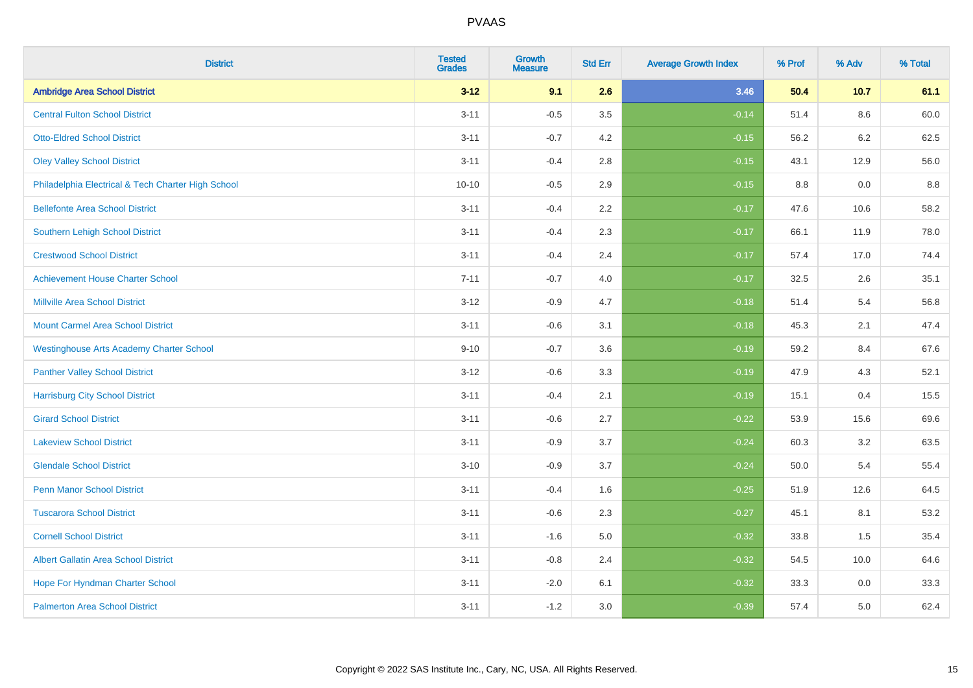| <b>District</b>                                    | <b>Tested</b><br><b>Grades</b> | <b>Growth</b><br><b>Measure</b> | <b>Std Err</b> | <b>Average Growth Index</b> | % Prof | % Adv   | % Total |
|----------------------------------------------------|--------------------------------|---------------------------------|----------------|-----------------------------|--------|---------|---------|
| <b>Ambridge Area School District</b>               | $3 - 12$                       | 9.1                             | 2.6            | 3.46                        | 50.4   | 10.7    | 61.1    |
| <b>Central Fulton School District</b>              | $3 - 11$                       | $-0.5$                          | 3.5            | $-0.14$                     | 51.4   | $8.6\,$ | 60.0    |
| <b>Otto-Eldred School District</b>                 | $3 - 11$                       | $-0.7$                          | 4.2            | $-0.15$                     | 56.2   | 6.2     | 62.5    |
| <b>Oley Valley School District</b>                 | $3 - 11$                       | $-0.4$                          | 2.8            | $-0.15$                     | 43.1   | 12.9    | 56.0    |
| Philadelphia Electrical & Tech Charter High School | $10 - 10$                      | $-0.5$                          | 2.9            | $-0.15$                     | 8.8    | 0.0     | 8.8     |
| <b>Bellefonte Area School District</b>             | $3 - 11$                       | $-0.4$                          | 2.2            | $-0.17$                     | 47.6   | 10.6    | 58.2    |
| Southern Lehigh School District                    | $3 - 11$                       | $-0.4$                          | 2.3            | $-0.17$                     | 66.1   | 11.9    | 78.0    |
| <b>Crestwood School District</b>                   | $3 - 11$                       | $-0.4$                          | 2.4            | $-0.17$                     | 57.4   | 17.0    | 74.4    |
| <b>Achievement House Charter School</b>            | $7 - 11$                       | $-0.7$                          | 4.0            | $-0.17$                     | 32.5   | 2.6     | 35.1    |
| <b>Millville Area School District</b>              | $3 - 12$                       | $-0.9$                          | 4.7            | $-0.18$                     | 51.4   | 5.4     | 56.8    |
| <b>Mount Carmel Area School District</b>           | $3 - 11$                       | $-0.6$                          | 3.1            | $-0.18$                     | 45.3   | 2.1     | 47.4    |
| <b>Westinghouse Arts Academy Charter School</b>    | $9 - 10$                       | $-0.7$                          | 3.6            | $-0.19$                     | 59.2   | 8.4     | 67.6    |
| <b>Panther Valley School District</b>              | $3-12$                         | $-0.6$                          | 3.3            | $-0.19$                     | 47.9   | 4.3     | 52.1    |
| <b>Harrisburg City School District</b>             | $3 - 11$                       | $-0.4$                          | 2.1            | $-0.19$                     | 15.1   | 0.4     | 15.5    |
| <b>Girard School District</b>                      | $3 - 11$                       | $-0.6$                          | 2.7            | $-0.22$                     | 53.9   | 15.6    | 69.6    |
| <b>Lakeview School District</b>                    | $3 - 11$                       | $-0.9$                          | 3.7            | $-0.24$                     | 60.3   | 3.2     | 63.5    |
| <b>Glendale School District</b>                    | $3 - 10$                       | $-0.9$                          | 3.7            | $-0.24$                     | 50.0   | 5.4     | 55.4    |
| <b>Penn Manor School District</b>                  | $3 - 11$                       | $-0.4$                          | 1.6            | $-0.25$                     | 51.9   | 12.6    | 64.5    |
| <b>Tuscarora School District</b>                   | $3 - 11$                       | $-0.6$                          | 2.3            | $-0.27$                     | 45.1   | 8.1     | 53.2    |
| <b>Cornell School District</b>                     | $3 - 11$                       | $-1.6$                          | 5.0            | $-0.32$                     | 33.8   | 1.5     | 35.4    |
| <b>Albert Gallatin Area School District</b>        | $3 - 11$                       | $-0.8$                          | 2.4            | $-0.32$                     | 54.5   | 10.0    | 64.6    |
| Hope For Hyndman Charter School                    | $3 - 11$                       | $-2.0$                          | 6.1            | $-0.32$                     | 33.3   | 0.0     | 33.3    |
| <b>Palmerton Area School District</b>              | $3 - 11$                       | $-1.2$                          | 3.0            | $-0.39$                     | 57.4   | 5.0     | 62.4    |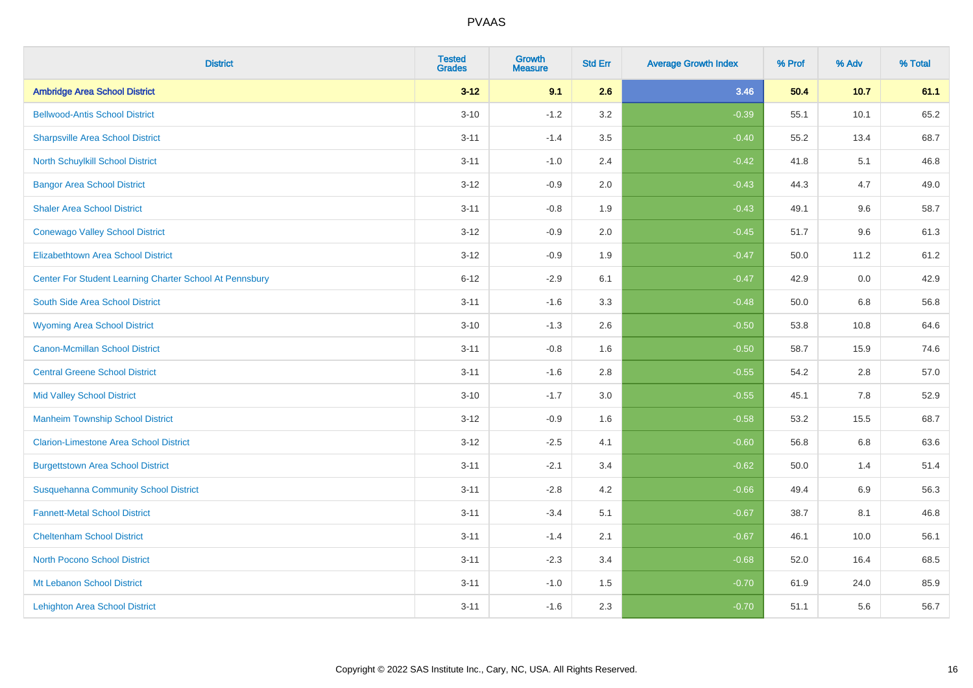| <b>District</b>                                         | <b>Tested</b><br><b>Grades</b> | <b>Growth</b><br><b>Measure</b> | <b>Std Err</b> | <b>Average Growth Index</b> | % Prof | % Adv   | % Total |
|---------------------------------------------------------|--------------------------------|---------------------------------|----------------|-----------------------------|--------|---------|---------|
| <b>Ambridge Area School District</b>                    | $3 - 12$                       | 9.1                             | 2.6            | 3.46                        | 50.4   | 10.7    | 61.1    |
| <b>Bellwood-Antis School District</b>                   | $3 - 10$                       | $-1.2$                          | 3.2            | $-0.39$                     | 55.1   | 10.1    | 65.2    |
| <b>Sharpsville Area School District</b>                 | $3 - 11$                       | $-1.4$                          | 3.5            | $-0.40$                     | 55.2   | 13.4    | 68.7    |
| North Schuylkill School District                        | $3 - 11$                       | $-1.0$                          | 2.4            | $-0.42$                     | 41.8   | 5.1     | 46.8    |
| <b>Bangor Area School District</b>                      | $3 - 12$                       | $-0.9$                          | 2.0            | $-0.43$                     | 44.3   | 4.7     | 49.0    |
| <b>Shaler Area School District</b>                      | $3 - 11$                       | $-0.8$                          | 1.9            | $-0.43$                     | 49.1   | 9.6     | 58.7    |
| <b>Conewago Valley School District</b>                  | $3 - 12$                       | $-0.9$                          | 2.0            | $-0.45$                     | 51.7   | 9.6     | 61.3    |
| <b>Elizabethtown Area School District</b>               | $3 - 12$                       | $-0.9$                          | 1.9            | $-0.47$                     | 50.0   | 11.2    | 61.2    |
| Center For Student Learning Charter School At Pennsbury | $6 - 12$                       | $-2.9$                          | 6.1            | $-0.47$                     | 42.9   | 0.0     | 42.9    |
| South Side Area School District                         | $3 - 11$                       | $-1.6$                          | 3.3            | $-0.48$                     | 50.0   | 6.8     | 56.8    |
| <b>Wyoming Area School District</b>                     | $3 - 10$                       | $-1.3$                          | 2.6            | $-0.50$                     | 53.8   | 10.8    | 64.6    |
| <b>Canon-Mcmillan School District</b>                   | $3 - 11$                       | $-0.8$                          | 1.6            | $-0.50$                     | 58.7   | 15.9    | 74.6    |
| <b>Central Greene School District</b>                   | $3 - 11$                       | $-1.6$                          | 2.8            | $-0.55$                     | 54.2   | 2.8     | 57.0    |
| <b>Mid Valley School District</b>                       | $3 - 10$                       | $-1.7$                          | 3.0            | $-0.55$                     | 45.1   | $7.8\,$ | 52.9    |
| <b>Manheim Township School District</b>                 | $3 - 12$                       | $-0.9$                          | 1.6            | $-0.58$                     | 53.2   | 15.5    | 68.7    |
| <b>Clarion-Limestone Area School District</b>           | $3 - 12$                       | $-2.5$                          | 4.1            | $-0.60$                     | 56.8   | 6.8     | 63.6    |
| <b>Burgettstown Area School District</b>                | $3 - 11$                       | $-2.1$                          | 3.4            | $-0.62$                     | 50.0   | 1.4     | 51.4    |
| <b>Susquehanna Community School District</b>            | $3 - 11$                       | $-2.8$                          | 4.2            | $-0.66$                     | 49.4   | 6.9     | 56.3    |
| <b>Fannett-Metal School District</b>                    | $3 - 11$                       | $-3.4$                          | 5.1            | $-0.67$                     | 38.7   | 8.1     | 46.8    |
| <b>Cheltenham School District</b>                       | $3 - 11$                       | $-1.4$                          | 2.1            | $-0.67$                     | 46.1   | 10.0    | 56.1    |
| <b>North Pocono School District</b>                     | $3 - 11$                       | $-2.3$                          | 3.4            | $-0.68$                     | 52.0   | 16.4    | 68.5    |
| Mt Lebanon School District                              | $3 - 11$                       | $-1.0$                          | 1.5            | $-0.70$                     | 61.9   | 24.0    | 85.9    |
| <b>Lehighton Area School District</b>                   | $3 - 11$                       | $-1.6$                          | 2.3            | $-0.70$                     | 51.1   | 5.6     | 56.7    |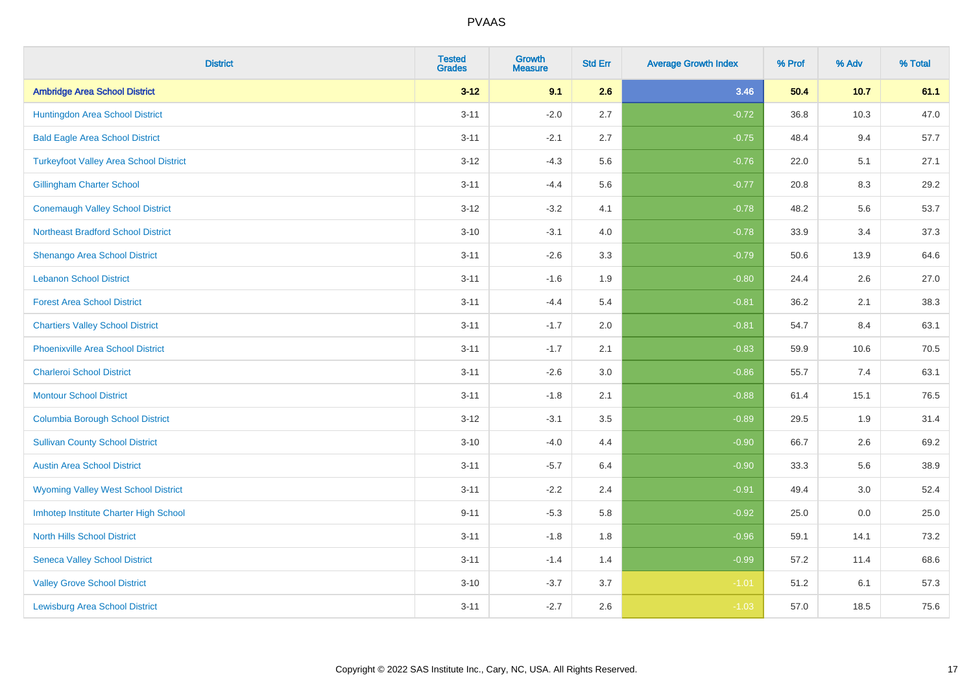| <b>District</b>                               | <b>Tested</b><br><b>Grades</b> | <b>Growth</b><br><b>Measure</b> | <b>Std Err</b> | <b>Average Growth Index</b> | % Prof | % Adv | % Total |
|-----------------------------------------------|--------------------------------|---------------------------------|----------------|-----------------------------|--------|-------|---------|
| <b>Ambridge Area School District</b>          | $3 - 12$                       | 9.1                             | 2.6            | 3.46                        | 50.4   | 10.7  | 61.1    |
| Huntingdon Area School District               | $3 - 11$                       | $-2.0$                          | 2.7            | $-0.72$                     | 36.8   | 10.3  | 47.0    |
| <b>Bald Eagle Area School District</b>        | $3 - 11$                       | $-2.1$                          | 2.7            | $-0.75$                     | 48.4   | 9.4   | 57.7    |
| <b>Turkeyfoot Valley Area School District</b> | $3 - 12$                       | $-4.3$                          | 5.6            | $-0.76$                     | 22.0   | 5.1   | 27.1    |
| <b>Gillingham Charter School</b>              | $3 - 11$                       | $-4.4$                          | 5.6            | $-0.77$                     | 20.8   | 8.3   | 29.2    |
| <b>Conemaugh Valley School District</b>       | $3 - 12$                       | $-3.2$                          | 4.1            | $-0.78$                     | 48.2   | 5.6   | 53.7    |
| <b>Northeast Bradford School District</b>     | $3 - 10$                       | $-3.1$                          | 4.0            | $-0.78$                     | 33.9   | 3.4   | 37.3    |
| <b>Shenango Area School District</b>          | $3 - 11$                       | $-2.6$                          | 3.3            | $-0.79$                     | 50.6   | 13.9  | 64.6    |
| <b>Lebanon School District</b>                | $3 - 11$                       | $-1.6$                          | 1.9            | $-0.80$                     | 24.4   | 2.6   | 27.0    |
| <b>Forest Area School District</b>            | $3 - 11$                       | $-4.4$                          | 5.4            | $-0.81$                     | 36.2   | 2.1   | 38.3    |
| <b>Chartiers Valley School District</b>       | $3 - 11$                       | $-1.7$                          | 2.0            | $-0.81$                     | 54.7   | 8.4   | 63.1    |
| <b>Phoenixville Area School District</b>      | $3 - 11$                       | $-1.7$                          | 2.1            | $-0.83$                     | 59.9   | 10.6  | 70.5    |
| <b>Charleroi School District</b>              | $3 - 11$                       | $-2.6$                          | 3.0            | $-0.86$                     | 55.7   | 7.4   | 63.1    |
| <b>Montour School District</b>                | $3 - 11$                       | $-1.8$                          | 2.1            | $-0.88$                     | 61.4   | 15.1  | 76.5    |
| <b>Columbia Borough School District</b>       | $3 - 12$                       | $-3.1$                          | 3.5            | $-0.89$                     | 29.5   | 1.9   | 31.4    |
| <b>Sullivan County School District</b>        | $3 - 10$                       | $-4.0$                          | 4.4            | $-0.90$                     | 66.7   | 2.6   | 69.2    |
| <b>Austin Area School District</b>            | $3 - 11$                       | $-5.7$                          | 6.4            | $-0.90$                     | 33.3   | 5.6   | 38.9    |
| <b>Wyoming Valley West School District</b>    | $3 - 11$                       | $-2.2$                          | 2.4            | $-0.91$                     | 49.4   | 3.0   | 52.4    |
| Imhotep Institute Charter High School         | $9 - 11$                       | $-5.3$                          | 5.8            | $-0.92$                     | 25.0   | 0.0   | 25.0    |
| <b>North Hills School District</b>            | $3 - 11$                       | $-1.8$                          | 1.8            | $-0.96$                     | 59.1   | 14.1  | 73.2    |
| <b>Seneca Valley School District</b>          | $3 - 11$                       | $-1.4$                          | 1.4            | $-0.99$                     | 57.2   | 11.4  | 68.6    |
| <b>Valley Grove School District</b>           | $3 - 10$                       | $-3.7$                          | 3.7            | $-1.01$                     | 51.2   | 6.1   | 57.3    |
| <b>Lewisburg Area School District</b>         | $3 - 11$                       | $-2.7$                          | 2.6            | $-1.03$                     | 57.0   | 18.5  | 75.6    |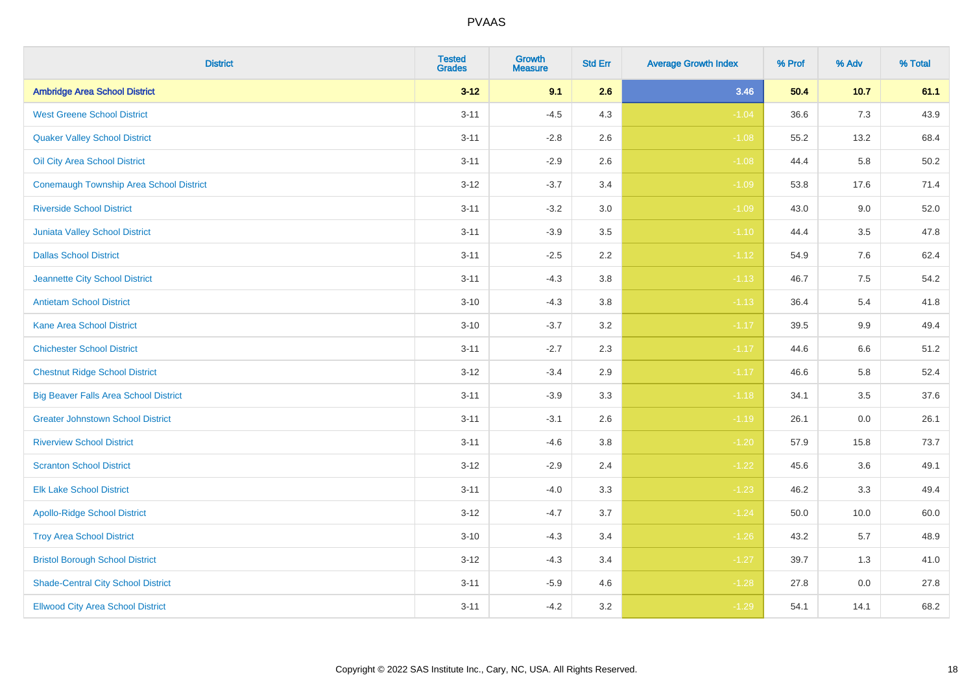| <b>District</b>                              | <b>Tested</b><br><b>Grades</b> | <b>Growth</b><br><b>Measure</b> | <b>Std Err</b> | <b>Average Growth Index</b> | % Prof | % Adv | % Total |
|----------------------------------------------|--------------------------------|---------------------------------|----------------|-----------------------------|--------|-------|---------|
| <b>Ambridge Area School District</b>         | $3 - 12$                       | 9.1                             | 2.6            | 3.46                        | 50.4   | 10.7  | 61.1    |
| <b>West Greene School District</b>           | $3 - 11$                       | $-4.5$                          | 4.3            | $-1.04$                     | 36.6   | 7.3   | 43.9    |
| <b>Quaker Valley School District</b>         | $3 - 11$                       | $-2.8$                          | 2.6            | $-1.08$                     | 55.2   | 13.2  | 68.4    |
| Oil City Area School District                | $3 - 11$                       | $-2.9$                          | 2.6            | $-1.08$                     | 44.4   | 5.8   | 50.2    |
| Conemaugh Township Area School District      | $3 - 12$                       | $-3.7$                          | 3.4            | $-1.09$                     | 53.8   | 17.6  | 71.4    |
| <b>Riverside School District</b>             | $3 - 11$                       | $-3.2$                          | 3.0            | $-1.09$                     | 43.0   | 9.0   | 52.0    |
| Juniata Valley School District               | $3 - 11$                       | $-3.9$                          | 3.5            | $-1.10$                     | 44.4   | 3.5   | 47.8    |
| <b>Dallas School District</b>                | $3 - 11$                       | $-2.5$                          | 2.2            | $-1.12$                     | 54.9   | 7.6   | 62.4    |
| Jeannette City School District               | $3 - 11$                       | $-4.3$                          | 3.8            | $-1.13$                     | 46.7   | 7.5   | 54.2    |
| <b>Antietam School District</b>              | $3 - 10$                       | $-4.3$                          | 3.8            | $-1.13$                     | 36.4   | 5.4   | 41.8    |
| <b>Kane Area School District</b>             | $3 - 10$                       | $-3.7$                          | 3.2            | $-1.17$                     | 39.5   | 9.9   | 49.4    |
| <b>Chichester School District</b>            | $3 - 11$                       | $-2.7$                          | 2.3            | $-1.17$                     | 44.6   | 6.6   | 51.2    |
| <b>Chestnut Ridge School District</b>        | $3 - 12$                       | $-3.4$                          | 2.9            | $-1.17$                     | 46.6   | 5.8   | 52.4    |
| <b>Big Beaver Falls Area School District</b> | $3 - 11$                       | $-3.9$                          | 3.3            | $-1.18$                     | 34.1   | 3.5   | 37.6    |
| <b>Greater Johnstown School District</b>     | $3 - 11$                       | $-3.1$                          | 2.6            | $-1.19$                     | 26.1   | 0.0   | 26.1    |
| <b>Riverview School District</b>             | $3 - 11$                       | $-4.6$                          | 3.8            | $-1.20$                     | 57.9   | 15.8  | 73.7    |
| <b>Scranton School District</b>              | $3 - 12$                       | $-2.9$                          | 2.4            | $-1.22$                     | 45.6   | 3.6   | 49.1    |
| <b>Elk Lake School District</b>              | $3 - 11$                       | $-4.0$                          | 3.3            | $-1.23$                     | 46.2   | 3.3   | 49.4    |
| <b>Apollo-Ridge School District</b>          | $3 - 12$                       | $-4.7$                          | 3.7            | $-1.24$                     | 50.0   | 10.0  | 60.0    |
| <b>Troy Area School District</b>             | $3 - 10$                       | $-4.3$                          | 3.4            | $-1.26$                     | 43.2   | 5.7   | 48.9    |
| <b>Bristol Borough School District</b>       | $3 - 12$                       | $-4.3$                          | 3.4            | $-1.27$                     | 39.7   | 1.3   | 41.0    |
| <b>Shade-Central City School District</b>    | $3 - 11$                       | $-5.9$                          | 4.6            | $-1.28$                     | 27.8   | 0.0   | 27.8    |
| <b>Ellwood City Area School District</b>     | $3 - 11$                       | $-4.2$                          | 3.2            | $-1.29$                     | 54.1   | 14.1  | 68.2    |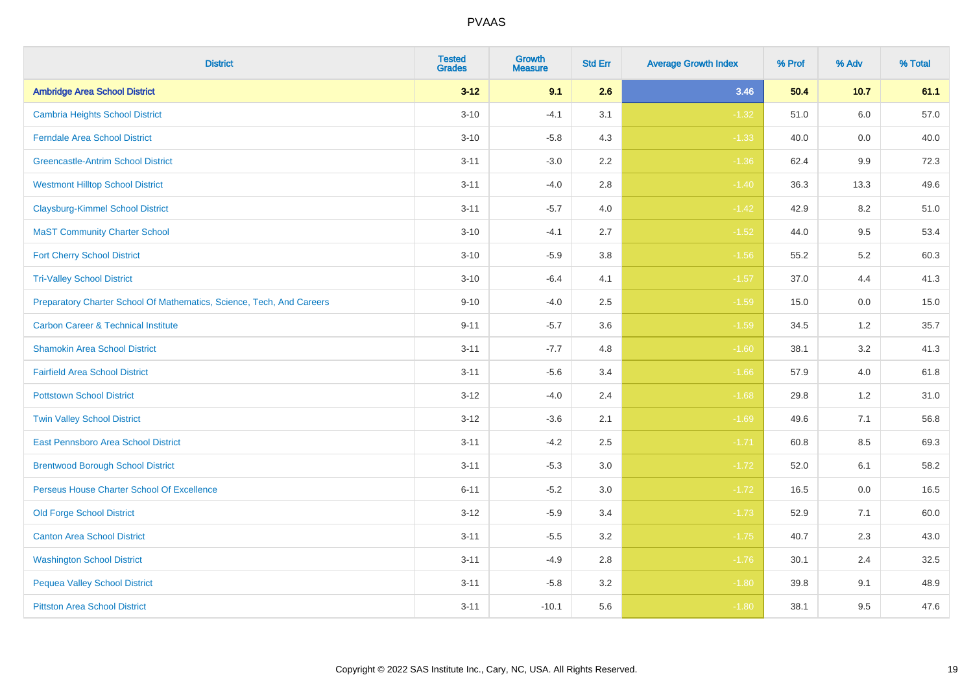| <b>District</b>                                                       | <b>Tested</b><br><b>Grades</b> | <b>Growth</b><br><b>Measure</b> | <b>Std Err</b> | <b>Average Growth Index</b> | % Prof | % Adv | % Total |
|-----------------------------------------------------------------------|--------------------------------|---------------------------------|----------------|-----------------------------|--------|-------|---------|
| <b>Ambridge Area School District</b>                                  | $3 - 12$                       | 9.1                             | 2.6            | 3.46                        | 50.4   | 10.7  | 61.1    |
| <b>Cambria Heights School District</b>                                | $3 - 10$                       | $-4.1$                          | 3.1            | $-1.32$                     | 51.0   | 6.0   | 57.0    |
| <b>Ferndale Area School District</b>                                  | $3 - 10$                       | $-5.8$                          | 4.3            | $-1.33$                     | 40.0   | 0.0   | 40.0    |
| <b>Greencastle-Antrim School District</b>                             | $3 - 11$                       | $-3.0$                          | 2.2            | $-1.36$                     | 62.4   | 9.9   | 72.3    |
| <b>Westmont Hilltop School District</b>                               | $3 - 11$                       | $-4.0$                          | 2.8            | $-1.40$                     | 36.3   | 13.3  | 49.6    |
| <b>Claysburg-Kimmel School District</b>                               | $3 - 11$                       | $-5.7$                          | 4.0            | $-1.42$                     | 42.9   | 8.2   | 51.0    |
| <b>MaST Community Charter School</b>                                  | $3 - 10$                       | $-4.1$                          | 2.7            | $-1.52$                     | 44.0   | 9.5   | 53.4    |
| <b>Fort Cherry School District</b>                                    | $3 - 10$                       | $-5.9$                          | 3.8            | $-1.56$                     | 55.2   | 5.2   | 60.3    |
| <b>Tri-Valley School District</b>                                     | $3 - 10$                       | $-6.4$                          | 4.1            | $-1.57$                     | 37.0   | 4.4   | 41.3    |
| Preparatory Charter School Of Mathematics, Science, Tech, And Careers | $9 - 10$                       | $-4.0$                          | 2.5            | $-1.59$                     | 15.0   | 0.0   | 15.0    |
| <b>Carbon Career &amp; Technical Institute</b>                        | $9 - 11$                       | $-5.7$                          | 3.6            | $-1.59$                     | 34.5   | $1.2$ | 35.7    |
| <b>Shamokin Area School District</b>                                  | $3 - 11$                       | $-7.7$                          | 4.8            | $-1.60$                     | 38.1   | 3.2   | 41.3    |
| <b>Fairfield Area School District</b>                                 | $3 - 11$                       | $-5.6$                          | 3.4            | $-1.66$                     | 57.9   | 4.0   | 61.8    |
| <b>Pottstown School District</b>                                      | $3 - 12$                       | $-4.0$                          | 2.4            | $-1.68$                     | 29.8   | 1.2   | 31.0    |
| <b>Twin Valley School District</b>                                    | $3 - 12$                       | $-3.6$                          | 2.1            | $-1.69$                     | 49.6   | 7.1   | 56.8    |
| <b>East Pennsboro Area School District</b>                            | $3 - 11$                       | $-4.2$                          | 2.5            | $-1.71$                     | 60.8   | 8.5   | 69.3    |
| <b>Brentwood Borough School District</b>                              | $3 - 11$                       | $-5.3$                          | 3.0            | $-1.72$                     | 52.0   | 6.1   | 58.2    |
| Perseus House Charter School Of Excellence                            | $6 - 11$                       | $-5.2$                          | 3.0            | $-1.72$                     | 16.5   | 0.0   | 16.5    |
| <b>Old Forge School District</b>                                      | $3 - 12$                       | $-5.9$                          | 3.4            | $-1.73$                     | 52.9   | 7.1   | 60.0    |
| <b>Canton Area School District</b>                                    | $3 - 11$                       | $-5.5$                          | 3.2            | $-1.75$                     | 40.7   | 2.3   | 43.0    |
| <b>Washington School District</b>                                     | $3 - 11$                       | $-4.9$                          | 2.8            | $-1.76$                     | 30.1   | 2.4   | 32.5    |
| <b>Pequea Valley School District</b>                                  | $3 - 11$                       | $-5.8$                          | 3.2            | $-1.80$                     | 39.8   | 9.1   | 48.9    |
| <b>Pittston Area School District</b>                                  | $3 - 11$                       | $-10.1$                         | 5.6            | $-1.80$                     | 38.1   | 9.5   | 47.6    |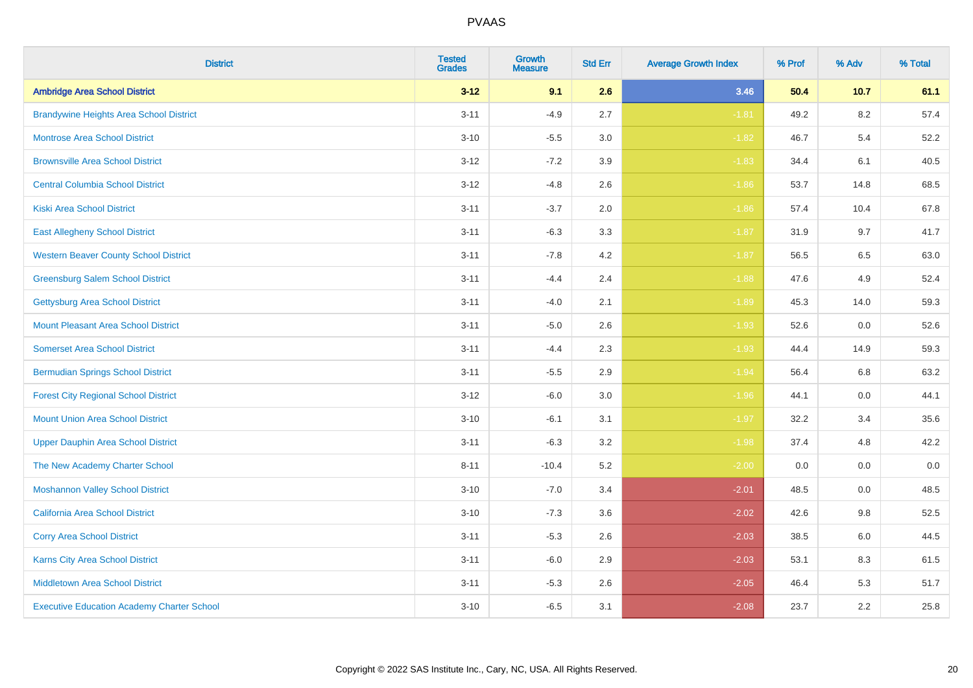| <b>District</b>                                   | <b>Tested</b><br><b>Grades</b> | <b>Growth</b><br><b>Measure</b> | <b>Std Err</b> | <b>Average Growth Index</b> | % Prof | % Adv   | % Total |
|---------------------------------------------------|--------------------------------|---------------------------------|----------------|-----------------------------|--------|---------|---------|
| <b>Ambridge Area School District</b>              | $3 - 12$                       | 9.1                             | 2.6            | 3.46                        | 50.4   | 10.7    | 61.1    |
| <b>Brandywine Heights Area School District</b>    | $3 - 11$                       | $-4.9$                          | 2.7            | $-1.81$                     | 49.2   | 8.2     | 57.4    |
| <b>Montrose Area School District</b>              | $3 - 10$                       | $-5.5$                          | 3.0            | $-1.82$                     | 46.7   | 5.4     | 52.2    |
| <b>Brownsville Area School District</b>           | $3 - 12$                       | $-7.2$                          | 3.9            | $-1.83$                     | 34.4   | 6.1     | 40.5    |
| <b>Central Columbia School District</b>           | $3 - 12$                       | $-4.8$                          | 2.6            | $-1.86$                     | 53.7   | 14.8    | 68.5    |
| <b>Kiski Area School District</b>                 | $3 - 11$                       | $-3.7$                          | 2.0            | $-1.86$                     | 57.4   | 10.4    | 67.8    |
| <b>East Allegheny School District</b>             | $3 - 11$                       | $-6.3$                          | 3.3            | $-1.87$                     | 31.9   | 9.7     | 41.7    |
| <b>Western Beaver County School District</b>      | $3 - 11$                       | $-7.8$                          | 4.2            | $-1.87$                     | 56.5   | 6.5     | 63.0    |
| <b>Greensburg Salem School District</b>           | $3 - 11$                       | $-4.4$                          | 2.4            | $-1.88$                     | 47.6   | 4.9     | 52.4    |
| <b>Gettysburg Area School District</b>            | $3 - 11$                       | $-4.0$                          | 2.1            | $-1.89$                     | 45.3   | 14.0    | 59.3    |
| <b>Mount Pleasant Area School District</b>        | $3 - 11$                       | $-5.0$                          | 2.6            | $-1.93$                     | 52.6   | 0.0     | 52.6    |
| <b>Somerset Area School District</b>              | $3 - 11$                       | $-4.4$                          | 2.3            | $-1.93$                     | 44.4   | 14.9    | 59.3    |
| <b>Bermudian Springs School District</b>          | $3 - 11$                       | $-5.5$                          | 2.9            | $-1.94$                     | 56.4   | 6.8     | 63.2    |
| <b>Forest City Regional School District</b>       | $3-12$                         | $-6.0$                          | 3.0            | $-1.96$                     | 44.1   | $0.0\,$ | 44.1    |
| <b>Mount Union Area School District</b>           | $3 - 10$                       | $-6.1$                          | 3.1            | $-1.97$                     | 32.2   | 3.4     | 35.6    |
| <b>Upper Dauphin Area School District</b>         | $3 - 11$                       | $-6.3$                          | 3.2            | $-1.98$                     | 37.4   | 4.8     | 42.2    |
| The New Academy Charter School                    | $8 - 11$                       | $-10.4$                         | 5.2            | $-2.00$                     | 0.0    | 0.0     | 0.0     |
| <b>Moshannon Valley School District</b>           | $3 - 10$                       | $-7.0$                          | 3.4            | $-2.01$                     | 48.5   | 0.0     | 48.5    |
| <b>California Area School District</b>            | $3 - 10$                       | $-7.3$                          | 3.6            | $-2.02$                     | 42.6   | 9.8     | 52.5    |
| <b>Corry Area School District</b>                 | $3 - 11$                       | $-5.3$                          | 2.6            | $-2.03$                     | 38.5   | 6.0     | 44.5    |
| Karns City Area School District                   | $3 - 11$                       | $-6.0$                          | 2.9            | $-2.03$                     | 53.1   | 8.3     | 61.5    |
| <b>Middletown Area School District</b>            | $3 - 11$                       | $-5.3$                          | 2.6            | $-2.05$                     | 46.4   | 5.3     | 51.7    |
| <b>Executive Education Academy Charter School</b> | $3 - 10$                       | $-6.5$                          | 3.1            | $-2.08$                     | 23.7   | 2.2     | 25.8    |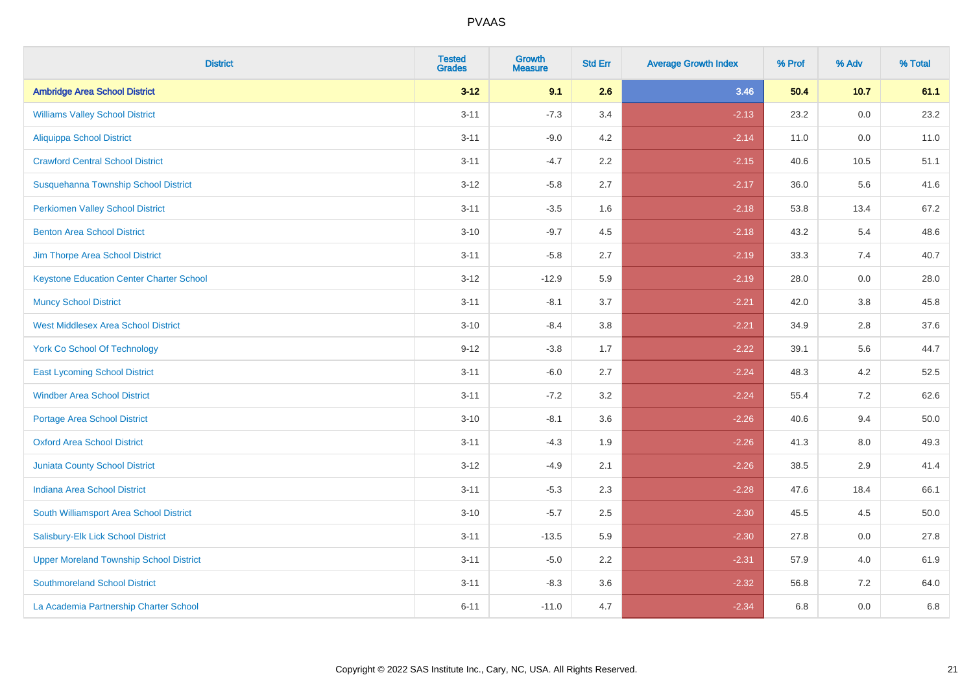| <b>District</b>                                 | <b>Tested</b><br><b>Grades</b> | <b>Growth</b><br><b>Measure</b> | <b>Std Err</b> | <b>Average Growth Index</b> | % Prof | % Adv   | % Total |
|-------------------------------------------------|--------------------------------|---------------------------------|----------------|-----------------------------|--------|---------|---------|
| <b>Ambridge Area School District</b>            | $3 - 12$                       | 9.1                             | 2.6            | 3.46                        | 50.4   | 10.7    | 61.1    |
| <b>Williams Valley School District</b>          | $3 - 11$                       | $-7.3$                          | 3.4            | $-2.13$                     | 23.2   | 0.0     | 23.2    |
| <b>Aliquippa School District</b>                | $3 - 11$                       | $-9.0$                          | 4.2            | $-2.14$                     | 11.0   | 0.0     | 11.0    |
| <b>Crawford Central School District</b>         | $3 - 11$                       | $-4.7$                          | 2.2            | $-2.15$                     | 40.6   | 10.5    | 51.1    |
| Susquehanna Township School District            | $3 - 12$                       | $-5.8$                          | 2.7            | $-2.17$                     | 36.0   | 5.6     | 41.6    |
| <b>Perkiomen Valley School District</b>         | $3 - 11$                       | $-3.5$                          | 1.6            | $-2.18$                     | 53.8   | 13.4    | 67.2    |
| <b>Benton Area School District</b>              | $3 - 10$                       | $-9.7$                          | 4.5            | $-2.18$                     | 43.2   | 5.4     | 48.6    |
| Jim Thorpe Area School District                 | $3 - 11$                       | $-5.8$                          | 2.7            | $-2.19$                     | 33.3   | 7.4     | 40.7    |
| <b>Keystone Education Center Charter School</b> | $3 - 12$                       | $-12.9$                         | 5.9            | $-2.19$                     | 28.0   | 0.0     | 28.0    |
| <b>Muncy School District</b>                    | $3 - 11$                       | $-8.1$                          | 3.7            | $-2.21$                     | 42.0   | 3.8     | 45.8    |
| <b>West Middlesex Area School District</b>      | $3 - 10$                       | $-8.4$                          | 3.8            | $-2.21$                     | 34.9   | 2.8     | 37.6    |
| <b>York Co School Of Technology</b>             | $9 - 12$                       | $-3.8$                          | 1.7            | $-2.22$                     | 39.1   | 5.6     | 44.7    |
| <b>East Lycoming School District</b>            | $3 - 11$                       | $-6.0$                          | 2.7            | $-2.24$                     | 48.3   | 4.2     | 52.5    |
| <b>Windber Area School District</b>             | $3 - 11$                       | $-7.2$                          | 3.2            | $-2.24$                     | 55.4   | 7.2     | 62.6    |
| <b>Portage Area School District</b>             | $3 - 10$                       | $-8.1$                          | 3.6            | $-2.26$                     | 40.6   | 9.4     | 50.0    |
| <b>Oxford Area School District</b>              | $3 - 11$                       | $-4.3$                          | 1.9            | $-2.26$                     | 41.3   | $8.0\,$ | 49.3    |
| <b>Juniata County School District</b>           | $3 - 12$                       | $-4.9$                          | 2.1            | $-2.26$                     | 38.5   | 2.9     | 41.4    |
| <b>Indiana Area School District</b>             | $3 - 11$                       | $-5.3$                          | 2.3            | $-2.28$                     | 47.6   | 18.4    | 66.1    |
| South Williamsport Area School District         | $3 - 10$                       | $-5.7$                          | 2.5            | $-2.30$                     | 45.5   | 4.5     | 50.0    |
| Salisbury-Elk Lick School District              | $3 - 11$                       | $-13.5$                         | 5.9            | $-2.30$                     | 27.8   | 0.0     | 27.8    |
| <b>Upper Moreland Township School District</b>  | $3 - 11$                       | $-5.0$                          | 2.2            | $-2.31$                     | 57.9   | 4.0     | 61.9    |
| <b>Southmoreland School District</b>            | $3 - 11$                       | $-8.3$                          | 3.6            | $-2.32$                     | 56.8   | 7.2     | 64.0    |
| La Academia Partnership Charter School          | $6 - 11$                       | $-11.0$                         | 4.7            | $-2.34$                     | 6.8    | 0.0     | 6.8     |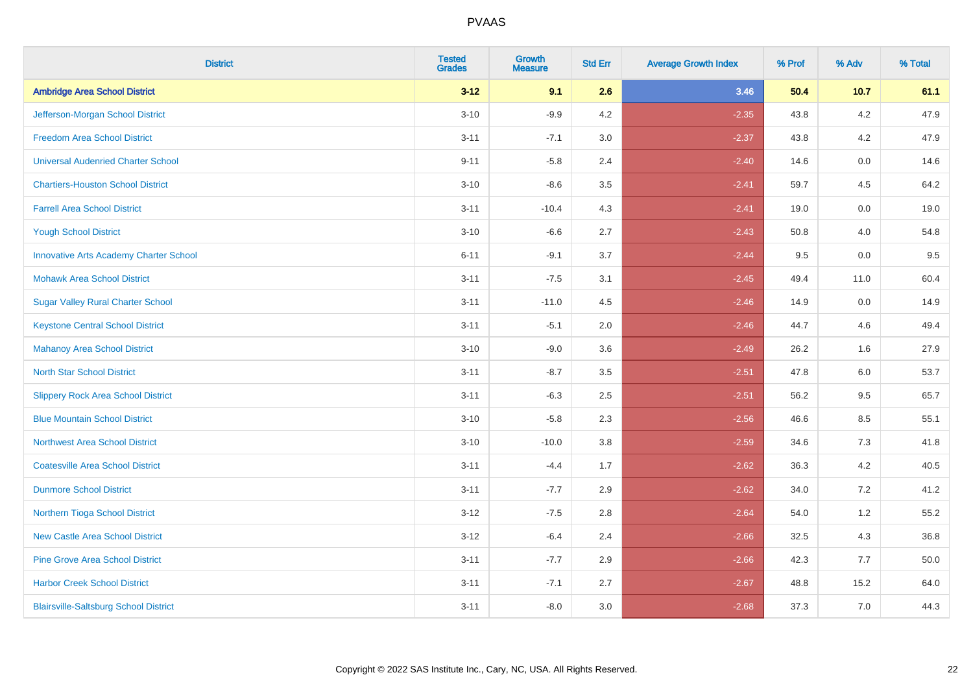| <b>District</b>                               | <b>Tested</b><br><b>Grades</b> | <b>Growth</b><br><b>Measure</b> | <b>Std Err</b> | <b>Average Growth Index</b> | % Prof | % Adv   | % Total |
|-----------------------------------------------|--------------------------------|---------------------------------|----------------|-----------------------------|--------|---------|---------|
| <b>Ambridge Area School District</b>          | $3 - 12$                       | 9.1                             | 2.6            | 3.46                        | 50.4   | 10.7    | 61.1    |
| Jefferson-Morgan School District              | $3 - 10$                       | $-9.9$                          | 4.2            | $-2.35$                     | 43.8   | $4.2\,$ | 47.9    |
| <b>Freedom Area School District</b>           | $3 - 11$                       | $-7.1$                          | 3.0            | $-2.37$                     | 43.8   | 4.2     | 47.9    |
| <b>Universal Audenried Charter School</b>     | $9 - 11$                       | $-5.8$                          | 2.4            | $-2.40$                     | 14.6   | 0.0     | 14.6    |
| <b>Chartiers-Houston School District</b>      | $3 - 10$                       | $-8.6$                          | 3.5            | $-2.41$                     | 59.7   | 4.5     | 64.2    |
| <b>Farrell Area School District</b>           | $3 - 11$                       | $-10.4$                         | 4.3            | $-2.41$                     | 19.0   | 0.0     | 19.0    |
| <b>Yough School District</b>                  | $3 - 10$                       | $-6.6$                          | 2.7            | $-2.43$                     | 50.8   | 4.0     | 54.8    |
| <b>Innovative Arts Academy Charter School</b> | $6 - 11$                       | $-9.1$                          | 3.7            | $-2.44$                     | 9.5    | 0.0     | 9.5     |
| <b>Mohawk Area School District</b>            | $3 - 11$                       | $-7.5$                          | 3.1            | $-2.45$                     | 49.4   | 11.0    | 60.4    |
| <b>Sugar Valley Rural Charter School</b>      | $3 - 11$                       | $-11.0$                         | 4.5            | $-2.46$                     | 14.9   | 0.0     | 14.9    |
| <b>Keystone Central School District</b>       | $3 - 11$                       | $-5.1$                          | 2.0            | $-2.46$                     | 44.7   | 4.6     | 49.4    |
| Mahanoy Area School District                  | $3 - 10$                       | $-9.0$                          | 3.6            | $-2.49$                     | 26.2   | 1.6     | 27.9    |
| <b>North Star School District</b>             | $3 - 11$                       | $-8.7$                          | 3.5            | $-2.51$                     | 47.8   | 6.0     | 53.7    |
| <b>Slippery Rock Area School District</b>     | $3 - 11$                       | $-6.3$                          | 2.5            | $-2.51$                     | 56.2   | 9.5     | 65.7    |
| <b>Blue Mountain School District</b>          | $3 - 10$                       | $-5.8$                          | 2.3            | $-2.56$                     | 46.6   | 8.5     | 55.1    |
| <b>Northwest Area School District</b>         | $3 - 10$                       | $-10.0$                         | 3.8            | $-2.59$                     | 34.6   | 7.3     | 41.8    |
| <b>Coatesville Area School District</b>       | $3 - 11$                       | $-4.4$                          | 1.7            | $-2.62$                     | 36.3   | 4.2     | 40.5    |
| <b>Dunmore School District</b>                | $3 - 11$                       | $-7.7$                          | 2.9            | $-2.62$                     | 34.0   | 7.2     | 41.2    |
| Northern Tioga School District                | $3 - 12$                       | $-7.5$                          | 2.8            | $-2.64$                     | 54.0   | 1.2     | 55.2    |
| <b>New Castle Area School District</b>        | $3 - 12$                       | $-6.4$                          | 2.4            | $-2.66$                     | 32.5   | 4.3     | 36.8    |
| <b>Pine Grove Area School District</b>        | $3 - 11$                       | $-7.7$                          | 2.9            | $-2.66$                     | 42.3   | 7.7     | 50.0    |
| <b>Harbor Creek School District</b>           | $3 - 11$                       | $-7.1$                          | 2.7            | $-2.67$                     | 48.8   | 15.2    | 64.0    |
| <b>Blairsville-Saltsburg School District</b>  | $3 - 11$                       | $-8.0$                          | 3.0            | $-2.68$                     | 37.3   | 7.0     | 44.3    |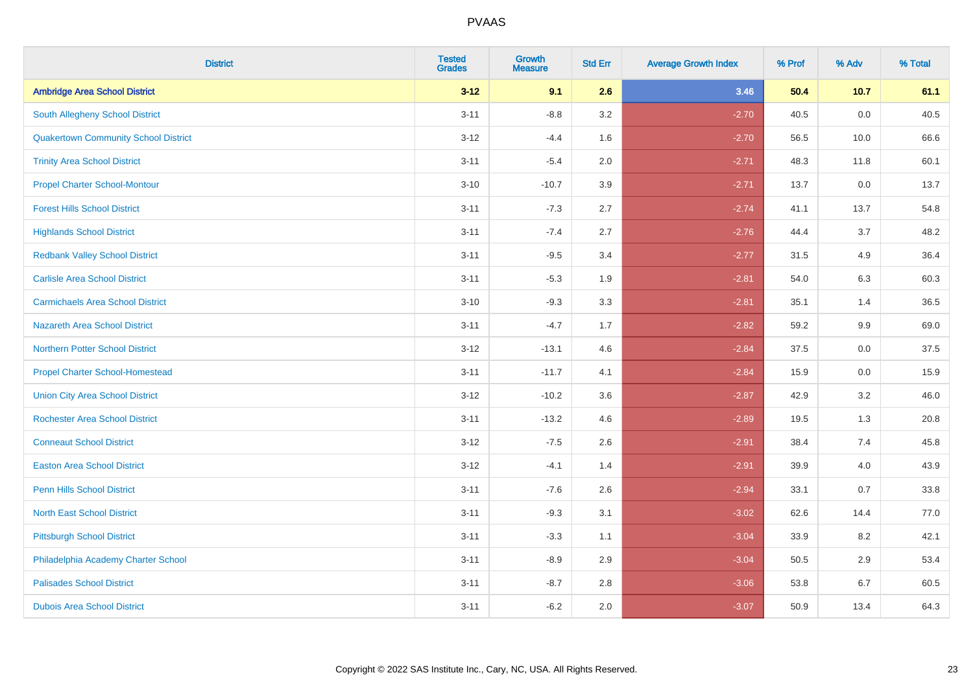| <b>District</b>                             | <b>Tested</b><br><b>Grades</b> | <b>Growth</b><br><b>Measure</b> | <b>Std Err</b> | <b>Average Growth Index</b> | % Prof | % Adv | % Total |
|---------------------------------------------|--------------------------------|---------------------------------|----------------|-----------------------------|--------|-------|---------|
| <b>Ambridge Area School District</b>        | $3 - 12$                       | 9.1                             | 2.6            | 3.46                        | 50.4   | 10.7  | 61.1    |
| <b>South Allegheny School District</b>      | $3 - 11$                       | $-8.8$                          | 3.2            | $-2.70$                     | 40.5   | 0.0   | 40.5    |
| <b>Quakertown Community School District</b> | $3 - 12$                       | $-4.4$                          | 1.6            | $-2.70$                     | 56.5   | 10.0  | 66.6    |
| <b>Trinity Area School District</b>         | $3 - 11$                       | $-5.4$                          | 2.0            | $-2.71$                     | 48.3   | 11.8  | 60.1    |
| <b>Propel Charter School-Montour</b>        | $3 - 10$                       | $-10.7$                         | 3.9            | $-2.71$                     | 13.7   | 0.0   | 13.7    |
| <b>Forest Hills School District</b>         | $3 - 11$                       | $-7.3$                          | 2.7            | $-2.74$                     | 41.1   | 13.7  | 54.8    |
| <b>Highlands School District</b>            | $3 - 11$                       | $-7.4$                          | 2.7            | $-2.76$                     | 44.4   | 3.7   | 48.2    |
| <b>Redbank Valley School District</b>       | $3 - 11$                       | $-9.5$                          | 3.4            | $-2.77$                     | 31.5   | 4.9   | 36.4    |
| <b>Carlisle Area School District</b>        | $3 - 11$                       | $-5.3$                          | 1.9            | $-2.81$                     | 54.0   | 6.3   | 60.3    |
| <b>Carmichaels Area School District</b>     | $3 - 10$                       | $-9.3$                          | 3.3            | $-2.81$                     | 35.1   | 1.4   | 36.5    |
| Nazareth Area School District               | $3 - 11$                       | $-4.7$                          | 1.7            | $-2.82$                     | 59.2   | 9.9   | 69.0    |
| <b>Northern Potter School District</b>      | $3 - 12$                       | $-13.1$                         | 4.6            | $-2.84$                     | 37.5   | 0.0   | 37.5    |
| <b>Propel Charter School-Homestead</b>      | $3 - 11$                       | $-11.7$                         | 4.1            | $-2.84$                     | 15.9   | 0.0   | 15.9    |
| <b>Union City Area School District</b>      | $3-12$                         | $-10.2$                         | 3.6            | $-2.87$                     | 42.9   | 3.2   | 46.0    |
| <b>Rochester Area School District</b>       | $3 - 11$                       | $-13.2$                         | 4.6            | $-2.89$                     | 19.5   | 1.3   | 20.8    |
| <b>Conneaut School District</b>             | $3 - 12$                       | $-7.5$                          | 2.6            | $-2.91$                     | 38.4   | 7.4   | 45.8    |
| <b>Easton Area School District</b>          | $3 - 12$                       | $-4.1$                          | 1.4            | $-2.91$                     | 39.9   | 4.0   | 43.9    |
| <b>Penn Hills School District</b>           | $3 - 11$                       | $-7.6$                          | 2.6            | $-2.94$                     | 33.1   | 0.7   | 33.8    |
| <b>North East School District</b>           | $3 - 11$                       | $-9.3$                          | 3.1            | $-3.02$                     | 62.6   | 14.4  | 77.0    |
| <b>Pittsburgh School District</b>           | $3 - 11$                       | $-3.3$                          | 1.1            | $-3.04$                     | 33.9   | 8.2   | 42.1    |
| Philadelphia Academy Charter School         | $3 - 11$                       | $-8.9$                          | 2.9            | $-3.04$                     | 50.5   | 2.9   | 53.4    |
| <b>Palisades School District</b>            | $3 - 11$                       | $-8.7$                          | 2.8            | $-3.06$                     | 53.8   | 6.7   | 60.5    |
| <b>Dubois Area School District</b>          | $3 - 11$                       | $-6.2$                          | 2.0            | $-3.07$                     | 50.9   | 13.4  | 64.3    |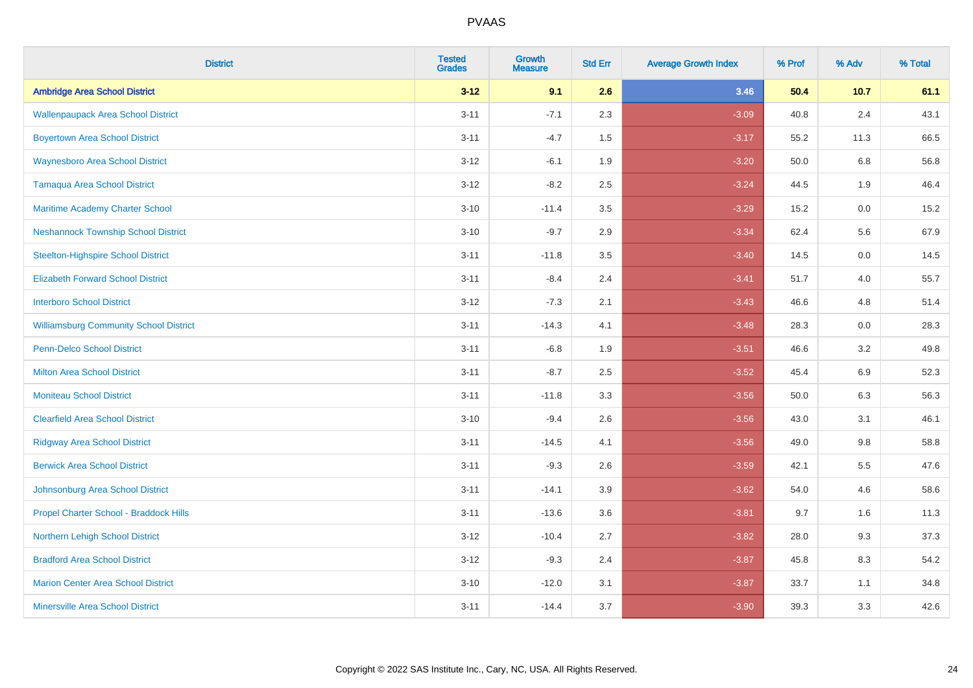| <b>District</b>                               | <b>Tested</b><br><b>Grades</b> | <b>Growth</b><br><b>Measure</b> | <b>Std Err</b> | <b>Average Growth Index</b> | % Prof | % Adv   | % Total |
|-----------------------------------------------|--------------------------------|---------------------------------|----------------|-----------------------------|--------|---------|---------|
| <b>Ambridge Area School District</b>          | $3 - 12$                       | 9.1                             | 2.6            | 3.46                        | 50.4   | 10.7    | 61.1    |
| <b>Wallenpaupack Area School District</b>     | $3 - 11$                       | $-7.1$                          | 2.3            | $-3.09$                     | 40.8   | $2.4\,$ | 43.1    |
| <b>Boyertown Area School District</b>         | $3 - 11$                       | $-4.7$                          | 1.5            | $-3.17$                     | 55.2   | 11.3    | 66.5    |
| <b>Waynesboro Area School District</b>        | $3-12$                         | $-6.1$                          | 1.9            | $-3.20$                     | 50.0   | 6.8     | 56.8    |
| <b>Tamaqua Area School District</b>           | $3 - 12$                       | $-8.2$                          | 2.5            | $-3.24$                     | 44.5   | 1.9     | 46.4    |
| Maritime Academy Charter School               | $3 - 10$                       | $-11.4$                         | 3.5            | $-3.29$                     | 15.2   | 0.0     | 15.2    |
| <b>Neshannock Township School District</b>    | $3 - 10$                       | $-9.7$                          | 2.9            | $-3.34$                     | 62.4   | 5.6     | 67.9    |
| <b>Steelton-Highspire School District</b>     | $3 - 11$                       | $-11.8$                         | 3.5            | $-3.40$                     | 14.5   | 0.0     | 14.5    |
| <b>Elizabeth Forward School District</b>      | $3 - 11$                       | $-8.4$                          | 2.4            | $-3.41$                     | 51.7   | 4.0     | 55.7    |
| <b>Interboro School District</b>              | $3 - 12$                       | $-7.3$                          | 2.1            | $-3.43$                     | 46.6   | 4.8     | 51.4    |
| <b>Williamsburg Community School District</b> | $3 - 11$                       | $-14.3$                         | 4.1            | $-3.48$                     | 28.3   | 0.0     | 28.3    |
| Penn-Delco School District                    | $3 - 11$                       | $-6.8$                          | 1.9            | $-3.51$                     | 46.6   | 3.2     | 49.8    |
| <b>Milton Area School District</b>            | $3 - 11$                       | $-8.7$                          | 2.5            | $-3.52$                     | 45.4   | 6.9     | 52.3    |
| <b>Moniteau School District</b>               | $3 - 11$                       | $-11.8$                         | 3.3            | $-3.56$                     | 50.0   | 6.3     | 56.3    |
| <b>Clearfield Area School District</b>        | $3 - 10$                       | $-9.4$                          | 2.6            | $-3.56$                     | 43.0   | 3.1     | 46.1    |
| <b>Ridgway Area School District</b>           | $3 - 11$                       | $-14.5$                         | 4.1            | $-3.56$                     | 49.0   | $9.8\,$ | 58.8    |
| <b>Berwick Area School District</b>           | $3 - 11$                       | $-9.3$                          | 2.6            | $-3.59$                     | 42.1   | 5.5     | 47.6    |
| Johnsonburg Area School District              | $3 - 11$                       | $-14.1$                         | 3.9            | $-3.62$                     | 54.0   | 4.6     | 58.6    |
| Propel Charter School - Braddock Hills        | $3 - 11$                       | $-13.6$                         | 3.6            | $-3.81$                     | 9.7    | 1.6     | 11.3    |
| <b>Northern Lehigh School District</b>        | $3 - 12$                       | $-10.4$                         | 2.7            | $-3.82$                     | 28.0   | 9.3     | 37.3    |
| <b>Bradford Area School District</b>          | $3-12$                         | $-9.3$                          | 2.4            | $-3.87$                     | 45.8   | 8.3     | 54.2    |
| <b>Marion Center Area School District</b>     | $3 - 10$                       | $-12.0$                         | 3.1            | $-3.87$                     | 33.7   | 1.1     | 34.8    |
| <b>Minersville Area School District</b>       | $3 - 11$                       | $-14.4$                         | 3.7            | $-3.90$                     | 39.3   | 3.3     | 42.6    |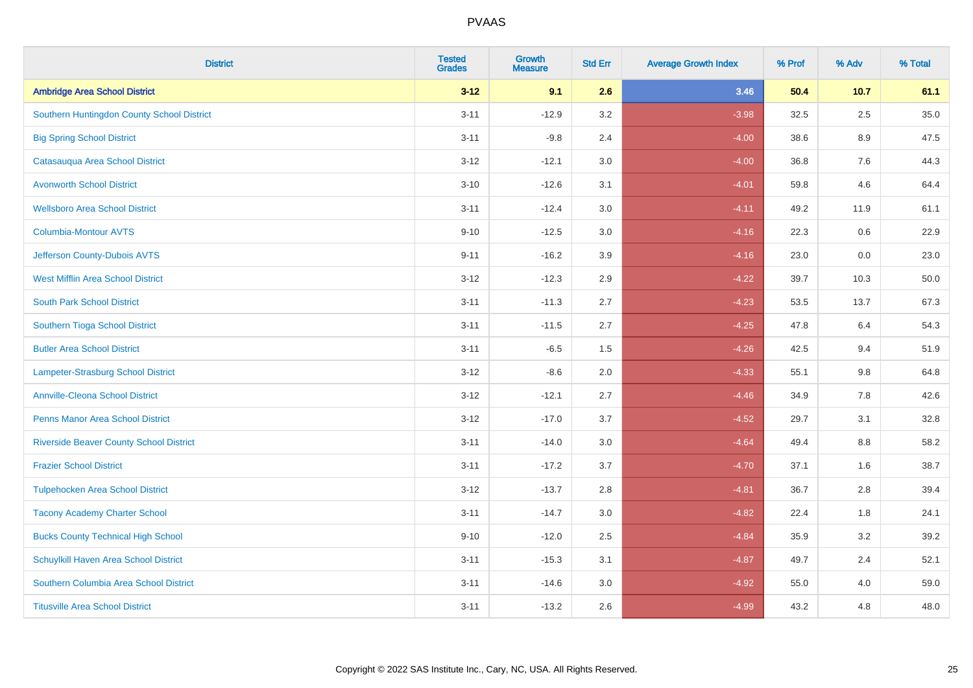| <b>District</b>                                | <b>Tested</b><br><b>Grades</b> | <b>Growth</b><br><b>Measure</b> | <b>Std Err</b> | <b>Average Growth Index</b> | % Prof | % Adv   | % Total |
|------------------------------------------------|--------------------------------|---------------------------------|----------------|-----------------------------|--------|---------|---------|
| <b>Ambridge Area School District</b>           | $3 - 12$                       | 9.1                             | 2.6            | 3.46                        | 50.4   | 10.7    | 61.1    |
| Southern Huntingdon County School District     | $3 - 11$                       | $-12.9$                         | 3.2            | $-3.98$                     | 32.5   | $2.5\,$ | 35.0    |
| <b>Big Spring School District</b>              | $3 - 11$                       | $-9.8$                          | 2.4            | $-4.00$                     | 38.6   | 8.9     | 47.5    |
| Catasauqua Area School District                | $3 - 12$                       | $-12.1$                         | 3.0            | $-4.00$                     | 36.8   | 7.6     | 44.3    |
| <b>Avonworth School District</b>               | $3 - 10$                       | $-12.6$                         | 3.1            | $-4.01$                     | 59.8   | 4.6     | 64.4    |
| <b>Wellsboro Area School District</b>          | $3 - 11$                       | $-12.4$                         | 3.0            | $-4.11$                     | 49.2   | 11.9    | 61.1    |
| <b>Columbia-Montour AVTS</b>                   | $9 - 10$                       | $-12.5$                         | 3.0            | $-4.16$                     | 22.3   | 0.6     | 22.9    |
| Jefferson County-Dubois AVTS                   | $9 - 11$                       | $-16.2$                         | 3.9            | $-4.16$                     | 23.0   | 0.0     | 23.0    |
| <b>West Mifflin Area School District</b>       | $3 - 12$                       | $-12.3$                         | 2.9            | $-4.22$                     | 39.7   | 10.3    | 50.0    |
| <b>South Park School District</b>              | $3 - 11$                       | $-11.3$                         | 2.7            | $-4.23$                     | 53.5   | 13.7    | 67.3    |
| Southern Tioga School District                 | $3 - 11$                       | $-11.5$                         | 2.7            | $-4.25$                     | 47.8   | 6.4     | 54.3    |
| <b>Butler Area School District</b>             | $3 - 11$                       | $-6.5$                          | 1.5            | $-4.26$                     | 42.5   | 9.4     | 51.9    |
| <b>Lampeter-Strasburg School District</b>      | $3 - 12$                       | $-8.6$                          | 2.0            | $-4.33$                     | 55.1   | $9.8\,$ | 64.8    |
| <b>Annville-Cleona School District</b>         | $3 - 12$                       | $-12.1$                         | 2.7            | $-4.46$                     | 34.9   | 7.8     | 42.6    |
| <b>Penns Manor Area School District</b>        | $3 - 12$                       | $-17.0$                         | 3.7            | $-4.52$                     | 29.7   | 3.1     | 32.8    |
| <b>Riverside Beaver County School District</b> | $3 - 11$                       | $-14.0$                         | 3.0            | $-4.64$                     | 49.4   | $8.8\,$ | 58.2    |
| <b>Frazier School District</b>                 | $3 - 11$                       | $-17.2$                         | 3.7            | $-4.70$                     | 37.1   | 1.6     | 38.7    |
| <b>Tulpehocken Area School District</b>        | $3 - 12$                       | $-13.7$                         | 2.8            | $-4.81$                     | 36.7   | 2.8     | 39.4    |
| <b>Tacony Academy Charter School</b>           | $3 - 11$                       | $-14.7$                         | 3.0            | $-4.82$                     | 22.4   | 1.8     | 24.1    |
| <b>Bucks County Technical High School</b>      | $9 - 10$                       | $-12.0$                         | 2.5            | $-4.84$                     | 35.9   | 3.2     | 39.2    |
| Schuylkill Haven Area School District          | $3 - 11$                       | $-15.3$                         | 3.1            | $-4.87$                     | 49.7   | 2.4     | 52.1    |
| Southern Columbia Area School District         | $3 - 11$                       | $-14.6$                         | 3.0            | $-4.92$                     | 55.0   | 4.0     | 59.0    |
| <b>Titusville Area School District</b>         | $3 - 11$                       | $-13.2$                         | 2.6            | $-4.99$                     | 43.2   | 4.8     | 48.0    |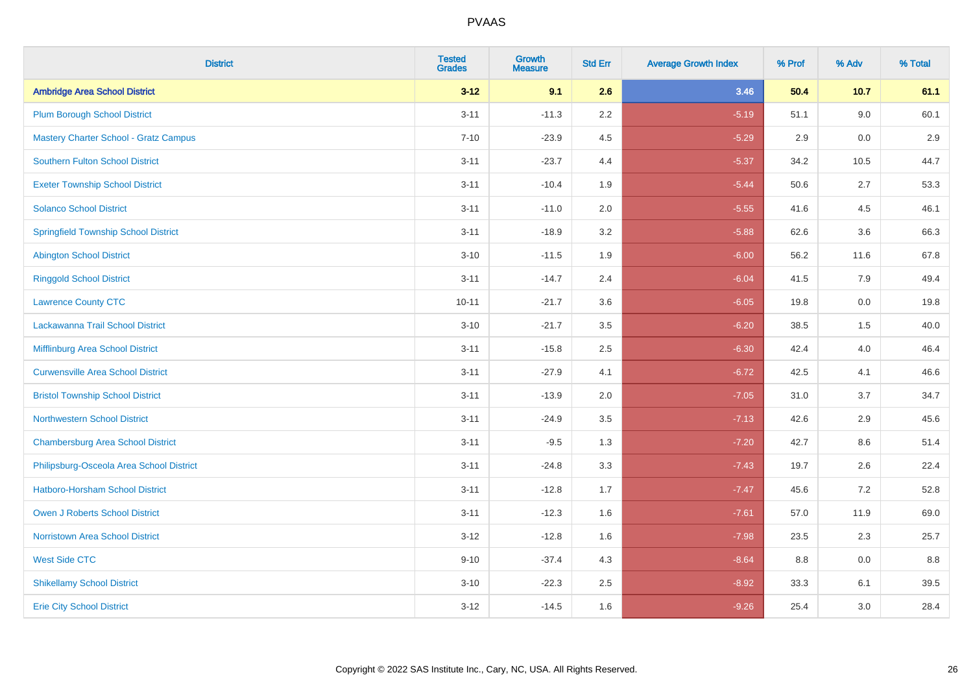| <b>District</b>                              | <b>Tested</b><br><b>Grades</b> | <b>Growth</b><br><b>Measure</b> | <b>Std Err</b> | <b>Average Growth Index</b> | % Prof | % Adv | % Total |
|----------------------------------------------|--------------------------------|---------------------------------|----------------|-----------------------------|--------|-------|---------|
| <b>Ambridge Area School District</b>         | $3 - 12$                       | 9.1                             | 2.6            | 3.46                        | 50.4   | 10.7  | 61.1    |
| <b>Plum Borough School District</b>          | $3 - 11$                       | $-11.3$                         | 2.2            | $-5.19$                     | 51.1   | 9.0   | 60.1    |
| <b>Mastery Charter School - Gratz Campus</b> | $7 - 10$                       | $-23.9$                         | 4.5            | $-5.29$                     | 2.9    | 0.0   | 2.9     |
| Southern Fulton School District              | $3 - 11$                       | $-23.7$                         | 4.4            | $-5.37$                     | 34.2   | 10.5  | 44.7    |
| <b>Exeter Township School District</b>       | $3 - 11$                       | $-10.4$                         | 1.9            | $-5.44$                     | 50.6   | 2.7   | 53.3    |
| <b>Solanco School District</b>               | $3 - 11$                       | $-11.0$                         | 2.0            | $-5.55$                     | 41.6   | 4.5   | 46.1    |
| <b>Springfield Township School District</b>  | $3 - 11$                       | $-18.9$                         | 3.2            | $-5.88$                     | 62.6   | 3.6   | 66.3    |
| <b>Abington School District</b>              | $3 - 10$                       | $-11.5$                         | 1.9            | $-6.00$                     | 56.2   | 11.6  | 67.8    |
| <b>Ringgold School District</b>              | $3 - 11$                       | $-14.7$                         | 2.4            | $-6.04$                     | 41.5   | 7.9   | 49.4    |
| <b>Lawrence County CTC</b>                   | $10 - 11$                      | $-21.7$                         | 3.6            | $-6.05$                     | 19.8   | 0.0   | 19.8    |
| Lackawanna Trail School District             | $3 - 10$                       | $-21.7$                         | 3.5            | $-6.20$                     | 38.5   | 1.5   | 40.0    |
| Mifflinburg Area School District             | $3 - 11$                       | $-15.8$                         | 2.5            | $-6.30$                     | 42.4   | 4.0   | 46.4    |
| <b>Curwensville Area School District</b>     | $3 - 11$                       | $-27.9$                         | 4.1            | $-6.72$                     | 42.5   | 4.1   | 46.6    |
| <b>Bristol Township School District</b>      | $3 - 11$                       | $-13.9$                         | 2.0            | $-7.05$                     | 31.0   | 3.7   | 34.7    |
| <b>Northwestern School District</b>          | $3 - 11$                       | $-24.9$                         | 3.5            | $-7.13$                     | 42.6   | 2.9   | 45.6    |
| <b>Chambersburg Area School District</b>     | $3 - 11$                       | $-9.5$                          | 1.3            | $-7.20$                     | 42.7   | 8.6   | 51.4    |
| Philipsburg-Osceola Area School District     | $3 - 11$                       | $-24.8$                         | 3.3            | $-7.43$                     | 19.7   | 2.6   | 22.4    |
| Hatboro-Horsham School District              | $3 - 11$                       | $-12.8$                         | 1.7            | $-7.47$                     | 45.6   | 7.2   | 52.8    |
| <b>Owen J Roberts School District</b>        | $3 - 11$                       | $-12.3$                         | 1.6            | $-7.61$                     | 57.0   | 11.9  | 69.0    |
| <b>Norristown Area School District</b>       | $3 - 12$                       | $-12.8$                         | 1.6            | $-7.98$                     | 23.5   | 2.3   | 25.7    |
| <b>West Side CTC</b>                         | $9 - 10$                       | $-37.4$                         | 4.3            | $-8.64$                     | 8.8    | 0.0   | 8.8     |
| <b>Shikellamy School District</b>            | $3 - 10$                       | $-22.3$                         | 2.5            | $-8.92$                     | 33.3   | 6.1   | 39.5    |
| <b>Erie City School District</b>             | $3 - 12$                       | $-14.5$                         | 1.6            | $-9.26$                     | 25.4   | 3.0   | 28.4    |